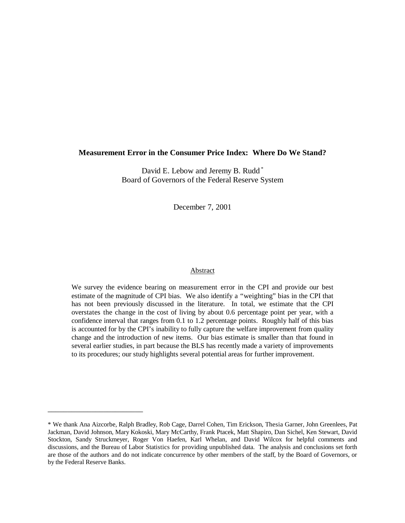## **Measurement Error in the Consumer Price Index: Where Do We Stand?**

David E. Lebow and Jeremy B. Rudd<sup>\*</sup> Board of Governors of the Federal Reserve System

December 7, 2001

#### Abstract

We survey the evidence bearing on measurement error in the CPI and provide our best estimate of the magnitude of CPI bias. We also identify a "weighting" bias in the CPI that has not been previously discussed in the literature. In total, we estimate that the CPI overstates the change in the cost of living by about 0.6 percentage point per year, with a confidence interval that ranges from 0.1 to 1.2 percentage points. Roughly half of this bias is accounted for by the CPI's inability to fully capture the welfare improvement from quality change and the introduction of new items. Our bias estimate is smaller than that found in several earlier studies, in part because the BLS has recently made a variety of improvements to its procedures; our study highlights several potential areas for further improvement.

\_\_\_\_\_\_\_\_\_\_\_\_\_\_\_\_\_\_\_\_\_\_\_\_

<sup>\*</sup> We thank Ana Aizcorbe, Ralph Bradley, Rob Cage, Darrel Cohen, Tim Erickson, Thesia Garner, John Greenlees, Pat Jackman, David Johnson, Mary Kokoski, Mary McCarthy, Frank Ptacek, Matt Shapiro, Dan Sichel, Ken Stewart, David Stockton, Sandy Struckmeyer, Roger Von Haefen, Karl Whelan, and David Wilcox for helpful comments and discussions, and the Bureau of Labor Statistics for providing unpublished data. The analysis and conclusions set forth are those of the authors and do not indicate concurrence by other members of the staff, by the Board of Governors, or by the Federal Reserve Banks.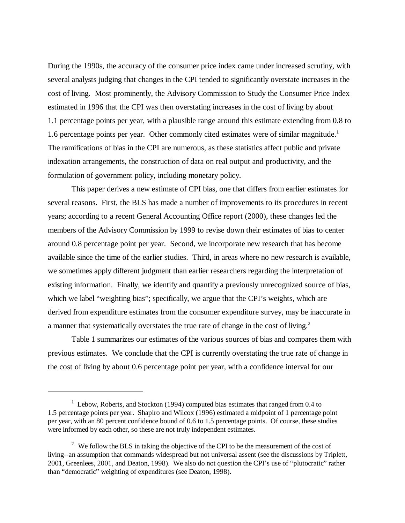During the 1990s, the accuracy of the consumer price index came under increased scrutiny, with several analysts judging that changes in the CPI tended to significantly overstate increases in the cost of living. Most prominently, the Advisory Commission to Study the Consumer Price Index estimated in 1996 that the CPI was then overstating increases in the cost of living by about 1.1 percentage points per year, with a plausible range around this estimate extending from 0.8 to 1.6 percentage points per year. Other commonly cited estimates were of similar magnitude.<sup>1</sup> The ramifications of bias in the CPI are numerous, as these statistics affect public and private indexation arrangements, the construction of data on real output and productivity, and the formulation of government policy, including monetary policy.

This paper derives a new estimate of CPI bias, one that differs from earlier estimates for several reasons. First, the BLS has made a number of improvements to its procedures in recent years; according to a recent General Accounting Office report (2000), these changes led the members of the Advisory Commission by 1999 to revise down their estimates of bias to center around 0.8 percentage point per year. Second, we incorporate new research that has become available since the time of the earlier studies. Third, in areas where no new research is available, we sometimes apply different judgment than earlier researchers regarding the interpretation of existing information. Finally, we identify and quantify a previously unrecognized source of bias, which we label "weighting bias"; specifically, we argue that the CPI's weights, which are derived from expenditure estimates from the consumer expenditure survey, may be inaccurate in a manner that systematically overstates the true rate of change in the cost of living.<sup>2</sup>

Table 1 summarizes our estimates of the various sources of bias and compares them with previous estimates. We conclude that the CPI is currently overstating the true rate of change in the cost of living by about 0.6 percentage point per year, with a confidence interval for our

<sup>&</sup>lt;sup>1</sup> Lebow, Roberts, and Stockton (1994) computed bias estimates that ranged from 0.4 to 1.5 percentage points per year. Shapiro and Wilcox (1996) estimated a midpoint of 1 percentage point per year, with an 80 percent confidence bound of 0.6 to 1.5 percentage points. Of course, these studies were informed by each other, so these are not truly independent estimates.

 $2^2$  We follow the BLS in taking the objective of the CPI to be the measurement of the cost of living--an assumption that commands widespread but not universal assent (see the discussions by Triplett, 2001, Greenlees, 2001, and Deaton, 1998). We also do not question the CPI's use of "plutocratic" rather than "democratic" weighting of expenditures (see Deaton, 1998).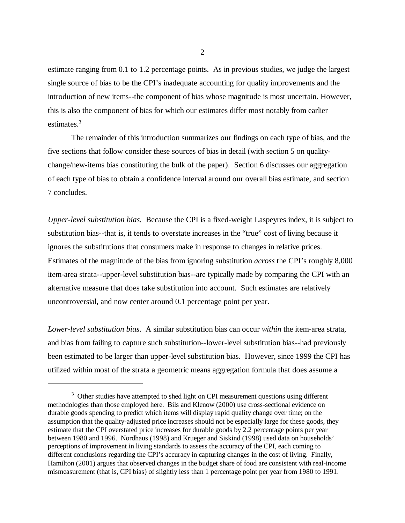estimate ranging from 0.1 to 1.2 percentage points. As in previous studies, we judge the largest single source of bias to be the CPI's inadequate accounting for quality improvements and the introduction of new items--the component of bias whose magnitude is most uncertain. However, this is also the component of bias for which our estimates differ most notably from earlier estimates.<sup>3</sup>

The remainder of this introduction summarizes our findings on each type of bias, and the five sections that follow consider these sources of bias in detail (with section 5 on qualitychange/new-items bias constituting the bulk of the paper). Section 6 discusses our aggregation of each type of bias to obtain a confidence interval around our overall bias estimate, and section 7 concludes.

*Upper-level substitution bias.* Because the CPI is a fixed-weight Laspeyres index, it is subject to substitution bias--that is, it tends to overstate increases in the "true" cost of living because it ignores the substitutions that consumers make in response to changes in relative prices. Estimates of the magnitude of the bias from ignoring substitution *across* the CPI's roughly 8,000 item-area strata--upper-level substitution bias--are typically made by comparing the CPI with an alternative measure that does take substitution into account. Such estimates are relatively uncontroversial, and now center around 0.1 percentage point per year.

*Lower-level substitution bias*. A similar substitution bias can occur *within* the item-area strata, and bias from failing to capture such substitution--lower-level substitution bias--had previously been estimated to be larger than upper-level substitution bias. However, since 1999 the CPI has utilized within most of the strata a geometric means aggregation formula that does assume a

<sup>&</sup>lt;sup>3</sup> Other studies have attempted to shed light on CPI measurement questions using different methodologies than those employed here. Bils and Klenow (2000) use cross-sectional evidence on durable goods spending to predict which items will display rapid quality change over time; on the assumption that the quality-adjusted price increases should not be especially large for these goods, they estimate that the CPI overstated price increases for durable goods by 2.2 percentage points per year between 1980 and 1996. Nordhaus (1998) and Krueger and Siskind (1998) used data on households' perceptions of improvement in living standards to assess the accuracy of the CPI, each coming to different conclusions regarding the CPI's accuracy in capturing changes in the cost of living. Finally, Hamilton (2001) argues that observed changes in the budget share of food are consistent with real-income mismeasurement (that is, CPI bias) of slightly less than 1 percentage point per year from 1980 to 1991.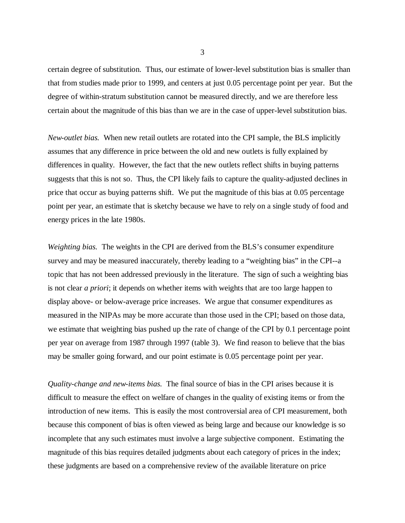certain degree of substitution. Thus, our estimate of lower-level substitution bias is smaller than that from studies made prior to 1999, and centers at just 0.05 percentage point per year. But the degree of within-stratum substitution cannot be measured directly, and we are therefore less certain about the magnitude of this bias than we are in the case of upper-level substitution bias.

*New-outlet bias.* When new retail outlets are rotated into the CPI sample, the BLS implicitly assumes that any difference in price between the old and new outlets is fully explained by differences in quality. However, the fact that the new outlets reflect shifts in buying patterns suggests that this is not so. Thus, the CPI likely fails to capture the quality-adjusted declines in price that occur as buying patterns shift. We put the magnitude of this bias at 0.05 percentage point per year, an estimate that is sketchy because we have to rely on a single study of food and energy prices in the late 1980s.

*Weighting bias.* The weights in the CPI are derived from the BLS's consumer expenditure survey and may be measured inaccurately, thereby leading to a "weighting bias" in the CPI--a topic that has not been addressed previously in the literature. The sign of such a weighting bias is not clear *a priori*; it depends on whether items with weights that are too large happen to display above- or below-average price increases. We argue that consumer expenditures as measured in the NIPAs may be more accurate than those used in the CPI; based on those data, we estimate that weighting bias pushed up the rate of change of the CPI by 0.1 percentage point per year on average from 1987 through 1997 (table 3). We find reason to believe that the bias may be smaller going forward, and our point estimate is 0.05 percentage point per year.

*Quality-change and new-items bias.* The final source of bias in the CPI arises because it is difficult to measure the effect on welfare of changes in the quality of existing items or from the introduction of new items. This is easily the most controversial area of CPI measurement, both because this component of bias is often viewed as being large and because our knowledge is so incomplete that any such estimates must involve a large subjective component. Estimating the magnitude of this bias requires detailed judgments about each category of prices in the index; these judgments are based on a comprehensive review of the available literature on price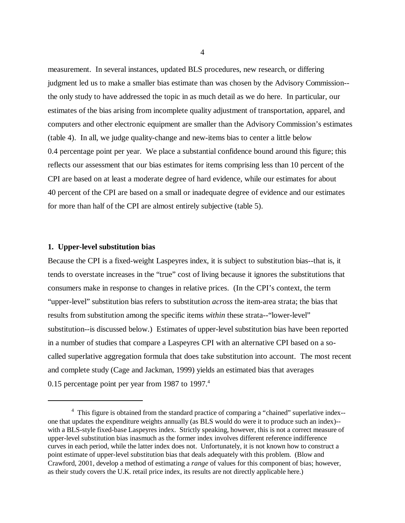measurement. In several instances, updated BLS procedures, new research, or differing judgment led us to make a smaller bias estimate than was chosen by the Advisory Commission- the only study to have addressed the topic in as much detail as we do here. In particular, our estimates of the bias arising from incomplete quality adjustment of transportation, apparel, and computers and other electronic equipment are smaller than the Advisory Commission's estimates (table 4). In all, we judge quality-change and new-items bias to center a little below 0.4 percentage point per year. We place a substantial confidence bound around this figure; this reflects our assessment that our bias estimates for items comprising less than 10 percent of the CPI are based on at least a moderate degree of hard evidence, while our estimates for about 40 percent of the CPI are based on a small or inadequate degree of evidence and our estimates for more than half of the CPI are almost entirely subjective (table 5).

#### **1. Upper-level substitution bias**

Because the CPI is a fixed-weight Laspeyres index, it is subject to substitution bias--that is, it tends to overstate increases in the "true" cost of living because it ignores the substitutions that consumers make in response to changes in relative prices. (In the CPI's context, the term "upper-level" substitution bias refers to substitution *across* the item-area strata; the bias that results from substitution among the specific items *within* these strata--"lower-level" substitution--is discussed below.) Estimates of upper-level substitution bias have been reported in a number of studies that compare a Laspeyres CPI with an alternative CPI based on a socalled superlative aggregation formula that does take substitution into account. The most recent and complete study (Cage and Jackman, 1999) yields an estimated bias that averages 0.15 percentage point per year from 1987 to 1997.4

<sup>&</sup>lt;sup>4</sup> This figure is obtained from the standard practice of comparing a "chained" superlative index-one that updates the expenditure weights annually (as BLS would do were it to produce such an index)- with a BLS-style fixed-base Laspeyres index. Strictly speaking, however, this is not a correct measure of upper-level substitution bias inasmuch as the former index involves different reference indifference curves in each period, while the latter index does not. Unfortunately, it is not known how to construct a point estimate of upper-level substitution bias that deals adequately with this problem. (Blow and Crawford, 2001, develop a method of estimating a *range* of values for this component of bias; however, as their study covers the U.K. retail price index, its results are not directly applicable here.)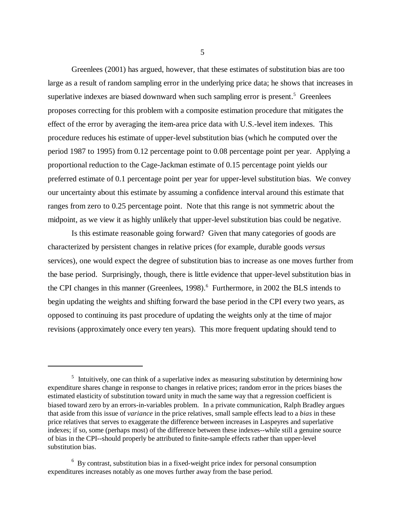Greenlees (2001) has argued, however, that these estimates of substitution bias are too large as a result of random sampling error in the underlying price data; he shows that increases in superlative indexes are biased downward when such sampling error is present.<sup>5</sup> Greenlees proposes correcting for this problem with a composite estimation procedure that mitigates the effect of the error by averaging the item-area price data with U.S.-level item indexes. This procedure reduces his estimate of upper-level substitution bias (which he computed over the period 1987 to 1995) from 0.12 percentage point to 0.08 percentage point per year. Applying a proportional reduction to the Cage-Jackman estimate of 0.15 percentage point yields our preferred estimate of 0.1 percentage point per year for upper-level substitution bias. We convey our uncertainty about this estimate by assuming a confidence interval around this estimate that ranges from zero to 0.25 percentage point. Note that this range is not symmetric about the midpoint, as we view it as highly unlikely that upper-level substitution bias could be negative.

Is this estimate reasonable going forward? Given that many categories of goods are characterized by persistent changes in relative prices (for example, durable goods *versus* services), one would expect the degree of substitution bias to increase as one moves further from the base period. Surprisingly, though, there is little evidence that upper-level substitution bias in the CPI changes in this manner (Greenlees, 1998).<sup>6</sup> Furthermore, in 2002 the BLS intends to begin updating the weights and shifting forward the base period in the CPI every two years, as opposed to continuing its past procedure of updating the weights only at the time of major revisions (approximately once every ten years). This more frequent updating should tend to

<sup>&</sup>lt;sup>5</sup> Intuitively, one can think of a superlative index as measuring substitution by determining how expenditure shares change in response to changes in relative prices; random error in the prices biases the estimated elasticity of substitution toward unity in much the same way that a regression coefficient is biased toward zero by an errors-in-variables problem. In a private communication, Ralph Bradley argues that aside from this issue of *variance* in the price relatives, small sample effects lead to a *bias* in these price relatives that serves to exaggerate the difference between increases in Laspeyres and superlative indexes; if so, some (perhaps most) of the difference between these indexes--while still a genuine source of bias in the CPI--should properly be attributed to finite-sample effects rather than upper-level substitution bias.

<sup>&</sup>lt;sup>6</sup> By contrast, substitution bias in a fixed-weight price index for personal consumption expenditures increases notably as one moves further away from the base period.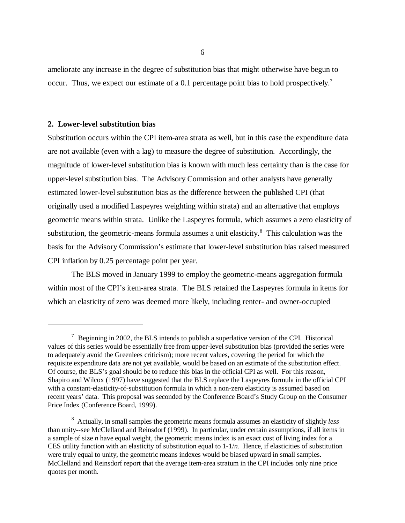ameliorate any increase in the degree of substitution bias that might otherwise have begun to occur. Thus, we expect our estimate of a 0.1 percentage point bias to hold prospectively.7

#### **2. Lower-level substitution bias**

Substitution occurs within the CPI item-area strata as well, but in this case the expenditure data are not available (even with a lag) to measure the degree of substitution. Accordingly, the magnitude of lower-level substitution bias is known with much less certainty than is the case for upper-level substitution bias. The Advisory Commission and other analysts have generally estimated lower-level substitution bias as the difference between the published CPI (that originally used a modified Laspeyres weighting within strata) and an alternative that employs geometric means within strata. Unlike the Laspeyres formula, which assumes a zero elasticity of substitution, the geometric-means formula assumes a unit elasticity.<sup>8</sup> This calculation was the basis for the Advisory Commission's estimate that lower-level substitution bias raised measured CPI inflation by 0.25 percentage point per year.

The BLS moved in January 1999 to employ the geometric-means aggregation formula within most of the CPI's item-area strata. The BLS retained the Laspeyres formula in items for which an elasticity of zero was deemed more likely, including renter- and owner-occupied

 $7$  Beginning in 2002, the BLS intends to publish a superlative version of the CPI. Historical values of this series would be essentially free from upper-level substitution bias (provided the series were to adequately avoid the Greenlees criticism); more recent values, covering the period for which the requisite expenditure data are not yet available, would be based on an estimate of the substitution effect. Of course, the BLS's goal should be to reduce this bias in the official CPI as well. For this reason, Shapiro and Wilcox (1997) have suggested that the BLS replace the Laspeyres formula in the official CPI with a constant-elasticity-of-substitution formula in which a non-zero elasticity is assumed based on recent years' data. This proposal was seconded by the Conference Board's Study Group on the Consumer Price Index (Conference Board, 1999).

<sup>8</sup> Actually, in small samples the geometric means formula assumes an elasticity of slightly *less* than unity--see McClelland and Reinsdorf (1999). In particular, under certain assumptions, if all items in a sample of size *n* have equal weight, the geometric means index is an exact cost of living index for a CES utility function with an elasticity of substitution equal to 1-1/*n*. Hence, if elasticities of substitution were truly equal to unity, the geometric means indexes would be biased upward in small samples. McClelland and Reinsdorf report that the average item-area stratum in the CPI includes only nine price quotes per month.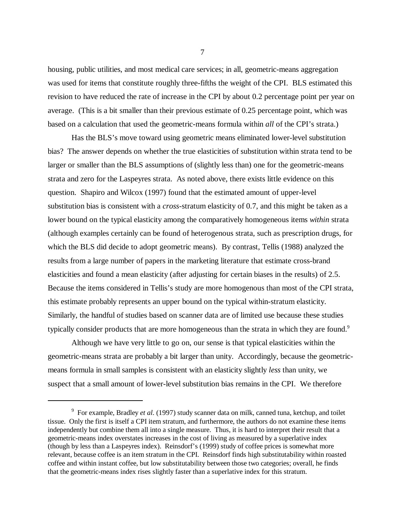housing, public utilities, and most medical care services; in all, geometric-means aggregation was used for items that constitute roughly three-fifths the weight of the CPI. BLS estimated this revision to have reduced the rate of increase in the CPI by about 0.2 percentage point per year on average. (This is a bit smaller than their previous estimate of 0.25 percentage point, which was based on a calculation that used the geometric-means formula within *all* of the CPI's strata.)

Has the BLS's move toward using geometric means eliminated lower-level substitution bias? The answer depends on whether the true elasticities of substitution within strata tend to be larger or smaller than the BLS assumptions of (slightly less than) one for the geometric-means strata and zero for the Laspeyres strata. As noted above, there exists little evidence on this question. Shapiro and Wilcox (1997) found that the estimated amount of upper-level substitution bias is consistent with a *cross*-stratum elasticity of 0.7, and this might be taken as a lower bound on the typical elasticity among the comparatively homogeneous items *within* strata (although examples certainly can be found of heterogenous strata, such as prescription drugs, for which the BLS did decide to adopt geometric means). By contrast, Tellis (1988) analyzed the results from a large number of papers in the marketing literature that estimate cross-brand elasticities and found a mean elasticity (after adjusting for certain biases in the results) of 2.5. Because the items considered in Tellis's study are more homogenous than most of the CPI strata, this estimate probably represents an upper bound on the typical within-stratum elasticity. Similarly, the handful of studies based on scanner data are of limited use because these studies typically consider products that are more homogeneous than the strata in which they are found.<sup>9</sup>

Although we have very little to go on, our sense is that typical elasticities within the geometric-means strata are probably a bit larger than unity. Accordingly, because the geometricmeans formula in small samples is consistent with an elasticity slightly *less* than unity, we suspect that a small amount of lower-level substitution bias remains in the CPI. We therefore

<sup>&</sup>lt;sup>9</sup> For example, Bradley *et al.* (1997) study scanner data on milk, canned tuna, ketchup, and toilet tissue. Only the first is itself a CPI item stratum, and furthermore, the authors do not examine these items independently but combine them all into a single measure. Thus, it is hard to interpret their result that a geometric-means index overstates increases in the cost of living as measured by a superlative index (though by less than a Laspeyres index). Reinsdorf's (1999) study of coffee prices is somewhat more relevant, because coffee is an item stratum in the CPI. Reinsdorf finds high substitutability within roasted coffee and within instant coffee, but low substitutability between those two categories; overall, he finds that the geometric-means index rises slightly faster than a superlative index for this stratum.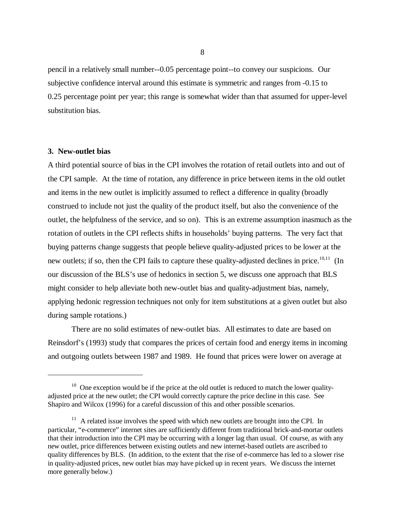pencil in a relatively small number--0.05 percentage point--to convey our suspicions. Our subjective confidence interval around this estimate is symmetric and ranges from -0.15 to 0.25 percentage point per year; this range is somewhat wider than that assumed for upper-level substitution bias.

#### **3. New-outlet bias**

A third potential source of bias in the CPI involves the rotation of retail outlets into and out of the CPI sample. At the time of rotation, any difference in price between items in the old outlet and items in the new outlet is implicitly assumed to reflect a difference in quality (broadly construed to include not just the quality of the product itself, but also the convenience of the outlet, the helpfulness of the service, and so on). This is an extreme assumption inasmuch as the rotation of outlets in the CPI reflects shifts in households' buying patterns. The very fact that buying patterns change suggests that people believe quality-adjusted prices to be lower at the new outlets; if so, then the CPI fails to capture these quality-adjusted declines in price.<sup>10,11</sup> (In our discussion of the BLS's use of hedonics in section 5, we discuss one approach that BLS might consider to help alleviate both new-outlet bias and quality-adjustment bias, namely, applying hedonic regression techniques not only for item substitutions at a given outlet but also during sample rotations.)

There are no solid estimates of new-outlet bias. All estimates to date are based on Reinsdorf's (1993) study that compares the prices of certain food and energy items in incoming and outgoing outlets between 1987 and 1989. He found that prices were lower on average at

 $10$  One exception would be if the price at the old outlet is reduced to match the lower qualityadjusted price at the new outlet; the CPI would correctly capture the price decline in this case. See Shapiro and Wilcox (1996) for a careful discussion of this and other possible scenarios.

 $11$  A related issue involves the speed with which new outlets are brought into the CPI. In particular, "e-commerce" internet sites are sufficiently different from traditional brick-and-mortar outlets that their introduction into the CPI may be occurring with a longer lag than usual. Of course, as with any new outlet, price differences between existing outlets and new internet-based outlets are ascribed to quality differences by BLS. (In addition, to the extent that the rise of e-commerce has led to a slower rise in quality-adjusted prices, new outlet bias may have picked up in recent years. We discuss the internet more generally below.)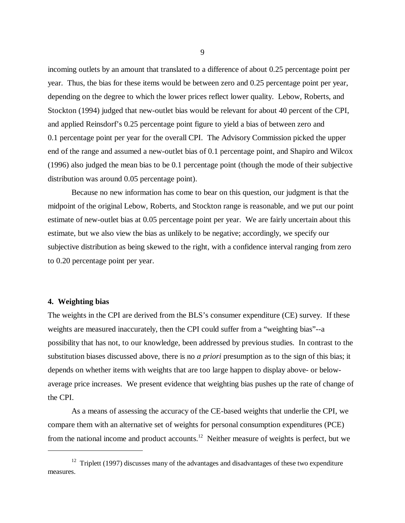incoming outlets by an amount that translated to a difference of about 0.25 percentage point per year. Thus, the bias for these items would be between zero and 0.25 percentage point per year, depending on the degree to which the lower prices reflect lower quality. Lebow, Roberts, and Stockton (1994) judged that new-outlet bias would be relevant for about 40 percent of the CPI, and applied Reinsdorf's 0.25 percentage point figure to yield a bias of between zero and 0.1 percentage point per year for the overall CPI. The Advisory Commission picked the upper end of the range and assumed a new-outlet bias of 0.1 percentage point, and Shapiro and Wilcox (1996) also judged the mean bias to be 0.1 percentage point (though the mode of their subjective distribution was around 0.05 percentage point).

Because no new information has come to bear on this question, our judgment is that the midpoint of the original Lebow, Roberts, and Stockton range is reasonable, and we put our point estimate of new-outlet bias at 0.05 percentage point per year. We are fairly uncertain about this estimate, but we also view the bias as unlikely to be negative; accordingly, we specify our subjective distribution as being skewed to the right, with a confidence interval ranging from zero to 0.20 percentage point per year.

#### **4. Weighting bias**

The weights in the CPI are derived from the BLS's consumer expenditure (CE) survey. If these weights are measured inaccurately, then the CPI could suffer from a "weighting bias"--a possibility that has not, to our knowledge, been addressed by previous studies. In contrast to the substitution biases discussed above, there is no *a priori* presumption as to the sign of this bias; it depends on whether items with weights that are too large happen to display above- or belowaverage price increases. We present evidence that weighting bias pushes up the rate of change of the CPI.

As a means of assessing the accuracy of the CE-based weights that underlie the CPI, we compare them with an alternative set of weights for personal consumption expenditures (PCE) from the national income and product accounts.<sup>12</sup> Neither measure of weights is perfect, but we

 $12$  Triplett (1997) discusses many of the advantages and disadvantages of these two expenditure measures.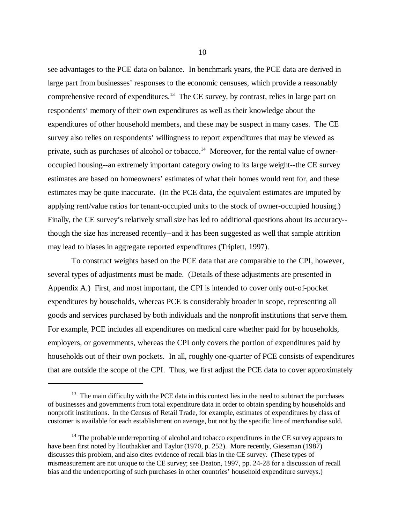see advantages to the PCE data on balance. In benchmark years, the PCE data are derived in large part from businesses' responses to the economic censuses, which provide a reasonably comprehensive record of expenditures.<sup>13</sup> The CE survey, by contrast, relies in large part on respondents' memory of their own expenditures as well as their knowledge about the expenditures of other household members, and these may be suspect in many cases. The CE survey also relies on respondents' willingness to report expenditures that may be viewed as private, such as purchases of alcohol or tobacco.<sup>14</sup> Moreover, for the rental value of owneroccupied housing--an extremely important category owing to its large weight--the CE survey estimates are based on homeowners' estimates of what their homes would rent for, and these estimates may be quite inaccurate. (In the PCE data, the equivalent estimates are imputed by applying rent/value ratios for tenant-occupied units to the stock of owner-occupied housing.) Finally, the CE survey's relatively small size has led to additional questions about its accuracy- though the size has increased recently--and it has been suggested as well that sample attrition may lead to biases in aggregate reported expenditures (Triplett, 1997).

To construct weights based on the PCE data that are comparable to the CPI, however, several types of adjustments must be made. (Details of these adjustments are presented in Appendix A.) First, and most important, the CPI is intended to cover only out-of-pocket expenditures by households, whereas PCE is considerably broader in scope, representing all goods and services purchased by both individuals and the nonprofit institutions that serve them. For example, PCE includes all expenditures on medical care whether paid for by households, employers, or governments, whereas the CPI only covers the portion of expenditures paid by households out of their own pockets. In all, roughly one-quarter of PCE consists of expenditures that are outside the scope of the CPI. Thus, we first adjust the PCE data to cover approximately

 $13$  The main difficulty with the PCE data in this context lies in the need to subtract the purchases of businesses and governments from total expenditure data in order to obtain spending by households and nonprofit institutions. In the Census of Retail Trade, for example, estimates of expenditures by class of customer is available for each establishment on average, but not by the specific line of merchandise sold.

 $14$  The probable underreporting of alcohol and tobacco expenditures in the CE survey appears to have been first noted by Houthakker and Taylor (1970, p. 252). More recently, Gieseman (1987) discusses this problem, and also cites evidence of recall bias in the CE survey. (These types of mismeasurement are not unique to the CE survey; see Deaton, 1997, pp. 24-28 for a discussion of recall bias and the underreporting of such purchases in other countries' household expenditure surveys.)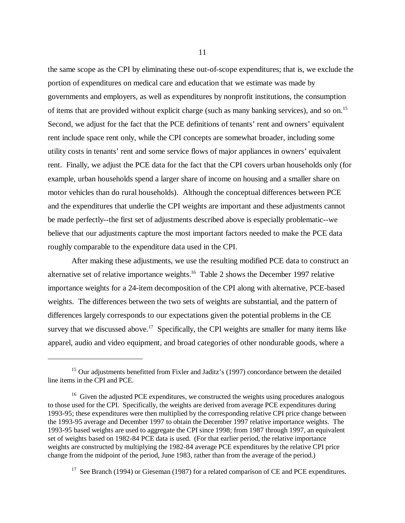the same scope as the CPI by eliminating these out-of-scope expenditures; that is, we exclude the portion of expenditures on medical care and education that we estimate was made by governments and employers, as well as expenditures by nonprofit institutions, the consumption of items that are provided without explicit charge (such as many banking services), and so on.<sup>15</sup> Second, we adjust for the fact that the PCE definitions of tenants' rent and owners' equivalent rent include space rent only, while the CPI concepts are somewhat broader, including some utility costs in tenants' rent and some service flows of major appliances in owners' equivalent rent. Finally, we adjust the PCE data for the fact that the CPI covers urban households only (for example, urban households spend a larger share of income on housing and a smaller share on motor vehicles than do rural households). Although the conceptual differences between PCE and the expenditures that underlie the CPI weights are important and these adjustments cannot be made perfectly--the first set of adjustments described above is especially problematic--we believe that our adjustments capture the most important factors needed to make the PCE data roughly comparable to the expenditure data used in the CPI.

After making these adjustments, we use the resulting modified PCE data to construct an alternative set of relative importance weights.<sup>16</sup> Table 2 shows the December 1997 relative importance weights for a 24-item decomposition of the CPI along with alternative, PCE-based weights. The differences between the two sets of weights are substantial, and the pattern of differences largely corresponds to our expectations given the potential problems in the CE survey that we discussed above.<sup>17</sup> Specifically, the CPI weights are smaller for many items like apparel, audio and video equipment, and broad categories of other nondurable goods, where a

<sup>&</sup>lt;sup>15</sup> Our adjustments benefitted from Fixler and Jaditz's (1997) concordance between the detailed line items in the CPI and PCE.

 $16$  Given the adjusted PCE expenditures, we constructed the weights using procedures analogous to those used for the CPI. Specifically, the weights are derived from average PCE expenditures during 1993-95; these expenditures were then multiplied by the corresponding relative CPI price change between the 1993-95 average and December 1997 to obtain the December 1997 relative importance weights. The 1993-95 based weights are used to aggregate the CPI since 1998; from 1987 through 1997, an equivalent set of weights based on 1982-84 PCE data is used. (For that earlier period, the relative importance weights are constructed by multiplying the 1982-84 average PCE expenditures by the relative CPI price change from the midpoint of the period, June 1983, rather than from the average of the period.)

<sup>&</sup>lt;sup>17</sup> See Branch (1994) or Gieseman (1987) for a related comparison of CE and PCE expenditures.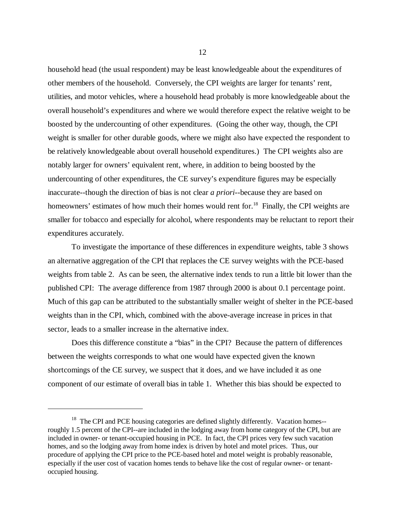household head (the usual respondent) may be least knowledgeable about the expenditures of other members of the household. Conversely, the CPI weights are larger for tenants' rent, utilities, and motor vehicles, where a household head probably is more knowledgeable about the overall household's expenditures and where we would therefore expect the relative weight to be boosted by the undercounting of other expenditures. (Going the other way, though, the CPI weight is smaller for other durable goods, where we might also have expected the respondent to be relatively knowledgeable about overall household expenditures.) The CPI weights also are notably larger for owners' equivalent rent, where, in addition to being boosted by the undercounting of other expenditures, the CE survey's expenditure figures may be especially inaccurate--though the direction of bias is not clear *a priori*--because they are based on homeowners' estimates of how much their homes would rent for.<sup>18</sup> Finally, the CPI weights are smaller for tobacco and especially for alcohol, where respondents may be reluctant to report their expenditures accurately.

To investigate the importance of these differences in expenditure weights, table 3 shows an alternative aggregation of the CPI that replaces the CE survey weights with the PCE-based weights from table 2. As can be seen, the alternative index tends to run a little bit lower than the published CPI: The average difference from 1987 through 2000 is about 0.1 percentage point. Much of this gap can be attributed to the substantially smaller weight of shelter in the PCE-based weights than in the CPI, which, combined with the above-average increase in prices in that sector, leads to a smaller increase in the alternative index.

Does this difference constitute a "bias" in the CPI? Because the pattern of differences between the weights corresponds to what one would have expected given the known shortcomings of the CE survey, we suspect that it does, and we have included it as one component of our estimate of overall bias in table 1. Whether this bias should be expected to

<sup>&</sup>lt;sup>18</sup> The CPI and PCE housing categories are defined slightly differently. Vacation homes-roughly 1.5 percent of the CPI--are included in the lodging away from home category of the CPI, but are included in owner- or tenant-occupied housing in PCE. In fact, the CPI prices very few such vacation homes, and so the lodging away from home index is driven by hotel and motel prices. Thus, our procedure of applying the CPI price to the PCE-based hotel and motel weight is probably reasonable, especially if the user cost of vacation homes tends to behave like the cost of regular owner- or tenantoccupied housing.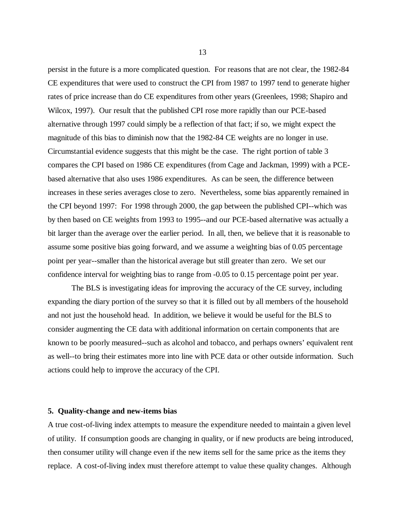persist in the future is a more complicated question. For reasons that are not clear, the 1982-84 CE expenditures that were used to construct the CPI from 1987 to 1997 tend to generate higher rates of price increase than do CE expenditures from other years (Greenlees, 1998; Shapiro and Wilcox, 1997). Our result that the published CPI rose more rapidly than our PCE-based alternative through 1997 could simply be a reflection of that fact; if so, we might expect the magnitude of this bias to diminish now that the 1982-84 CE weights are no longer in use. Circumstantial evidence suggests that this might be the case. The right portion of table 3 compares the CPI based on 1986 CE expenditures (from Cage and Jackman, 1999) with a PCEbased alternative that also uses 1986 expenditures. As can be seen, the difference between increases in these series averages close to zero. Nevertheless, some bias apparently remained in the CPI beyond 1997: For 1998 through 2000, the gap between the published CPI--which was by then based on CE weights from 1993 to 1995--and our PCE-based alternative was actually a bit larger than the average over the earlier period. In all, then, we believe that it is reasonable to assume some positive bias going forward, and we assume a weighting bias of 0.05 percentage point per year--smaller than the historical average but still greater than zero. We set our confidence interval for weighting bias to range from -0.05 to 0.15 percentage point per year.

The BLS is investigating ideas for improving the accuracy of the CE survey, including expanding the diary portion of the survey so that it is filled out by all members of the household and not just the household head. In addition, we believe it would be useful for the BLS to consider augmenting the CE data with additional information on certain components that are known to be poorly measured--such as alcohol and tobacco, and perhaps owners' equivalent rent as well--to bring their estimates more into line with PCE data or other outside information. Such actions could help to improve the accuracy of the CPI.

#### **5. Quality-change and new-items bias**

A true cost-of-living index attempts to measure the expenditure needed to maintain a given level of utility. If consumption goods are changing in quality, or if new products are being introduced, then consumer utility will change even if the new items sell for the same price as the items they replace. A cost-of-living index must therefore attempt to value these quality changes. Although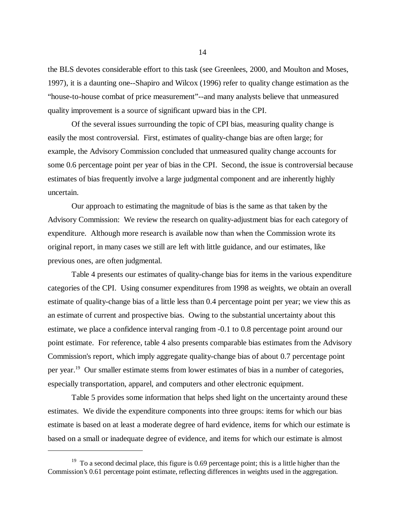the BLS devotes considerable effort to this task (see Greenlees, 2000, and Moulton and Moses, 1997), it is a daunting one--Shapiro and Wilcox (1996) refer to quality change estimation as the "house-to-house combat of price measurement"--and many analysts believe that unmeasured quality improvement is a source of significant upward bias in the CPI.

Of the several issues surrounding the topic of CPI bias, measuring quality change is easily the most controversial. First, estimates of quality-change bias are often large; for example, the Advisory Commission concluded that unmeasured quality change accounts for some 0.6 percentage point per year of bias in the CPI. Second, the issue is controversial because estimates of bias frequently involve a large judgmental component and are inherently highly uncertain.

Our approach to estimating the magnitude of bias is the same as that taken by the Advisory Commission: We review the research on quality-adjustment bias for each category of expenditure. Although more research is available now than when the Commission wrote its original report, in many cases we still are left with little guidance, and our estimates, like previous ones, are often judgmental.

Table 4 presents our estimates of quality-change bias for items in the various expenditure categories of the CPI. Using consumer expenditures from 1998 as weights, we obtain an overall estimate of quality-change bias of a little less than 0.4 percentage point per year; we view this as an estimate of current and prospective bias. Owing to the substantial uncertainty about this estimate, we place a confidence interval ranging from -0.1 to 0.8 percentage point around our point estimate. For reference, table 4 also presents comparable bias estimates from the Advisory Commission's report, which imply aggregate quality-change bias of about 0.7 percentage point per year.19 Our smaller estimate stems from lower estimates of bias in a number of categories, especially transportation, apparel, and computers and other electronic equipment.

Table 5 provides some information that helps shed light on the uncertainty around these estimates. We divide the expenditure components into three groups: items for which our bias estimate is based on at least a moderate degree of hard evidence, items for which our estimate is based on a small or inadequate degree of evidence, and items for which our estimate is almost

 $19$  To a second decimal place, this figure is 0.69 percentage point; this is a little higher than the Commission's 0.61 percentage point estimate, reflecting differences in weights used in the aggregation.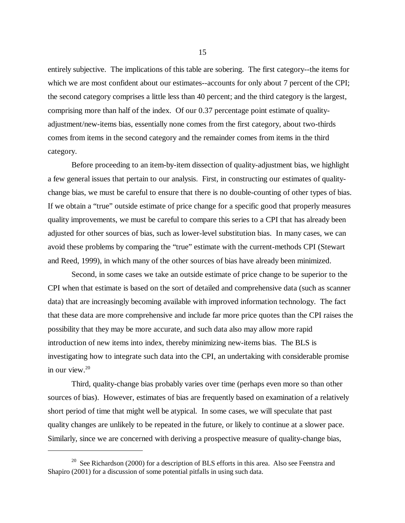entirely subjective. The implications of this table are sobering. The first category--the items for which we are most confident about our estimates--accounts for only about 7 percent of the CPI; the second category comprises a little less than 40 percent; and the third category is the largest, comprising more than half of the index. Of our 0.37 percentage point estimate of qualityadjustment/new-items bias, essentially none comes from the first category, about two-thirds comes from items in the second category and the remainder comes from items in the third category.

Before proceeding to an item-by-item dissection of quality-adjustment bias, we highlight a few general issues that pertain to our analysis. First, in constructing our estimates of qualitychange bias, we must be careful to ensure that there is no double-counting of other types of bias. If we obtain a "true" outside estimate of price change for a specific good that properly measures quality improvements, we must be careful to compare this series to a CPI that has already been adjusted for other sources of bias, such as lower-level substitution bias. In many cases, we can avoid these problems by comparing the "true" estimate with the current-methods CPI (Stewart and Reed, 1999), in which many of the other sources of bias have already been minimized.

Second, in some cases we take an outside estimate of price change to be superior to the CPI when that estimate is based on the sort of detailed and comprehensive data (such as scanner data) that are increasingly becoming available with improved information technology. The fact that these data are more comprehensive and include far more price quotes than the CPI raises the possibility that they may be more accurate, and such data also may allow more rapid introduction of new items into index, thereby minimizing new-items bias. The BLS is investigating how to integrate such data into the CPI, an undertaking with considerable promise in our view.20

Third, quality-change bias probably varies over time (perhaps even more so than other sources of bias). However, estimates of bias are frequently based on examination of a relatively short period of time that might well be atypical. In some cases, we will speculate that past quality changes are unlikely to be repeated in the future, or likely to continue at a slower pace. Similarly, since we are concerned with deriving a prospective measure of quality-change bias,

<sup>&</sup>lt;sup>20</sup> See Richardson (2000) for a description of BLS efforts in this area. Also see Feenstra and Shapiro (2001) for a discussion of some potential pitfalls in using such data.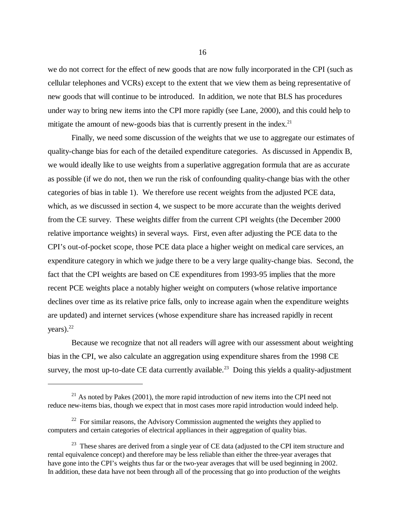we do not correct for the effect of new goods that are now fully incorporated in the CPI (such as cellular telephones and VCRs) except to the extent that we view them as being representative of new goods that will continue to be introduced. In addition, we note that BLS has procedures under way to bring new items into the CPI more rapidly (see Lane, 2000), and this could help to mitigate the amount of new-goods bias that is currently present in the index.<sup>21</sup>

Finally, we need some discussion of the weights that we use to aggregate our estimates of quality-change bias for each of the detailed expenditure categories. As discussed in Appendix B, we would ideally like to use weights from a superlative aggregation formula that are as accurate as possible (if we do not, then we run the risk of confounding quality-change bias with the other categories of bias in table 1). We therefore use recent weights from the adjusted PCE data, which, as we discussed in section 4, we suspect to be more accurate than the weights derived from the CE survey. These weights differ from the current CPI weights (the December 2000 relative importance weights) in several ways. First, even after adjusting the PCE data to the CPI's out-of-pocket scope, those PCE data place a higher weight on medical care services, an expenditure category in which we judge there to be a very large quality-change bias. Second, the fact that the CPI weights are based on CE expenditures from 1993-95 implies that the more recent PCE weights place a notably higher weight on computers (whose relative importance declines over time as its relative price falls, only to increase again when the expenditure weights are updated) and internet services (whose expenditure share has increased rapidly in recent years).<sup>22</sup>

Because we recognize that not all readers will agree with our assessment about weighting bias in the CPI, we also calculate an aggregation using expenditure shares from the 1998 CE survey, the most up-to-date CE data currently available.<sup>23</sup> Doing this yields a quality-adjustment

 $^{21}$  As noted by Pakes (2001), the more rapid introduction of new items into the CPI need not reduce new-items bias, though we expect that in most cases more rapid introduction would indeed help.

 $22$  For similar reasons, the Advisory Commission augmented the weights they applied to computers and certain categories of electrical appliances in their aggregation of quality bias.

 $23$  These shares are derived from a single year of CE data (adjusted to the CPI item structure and rental equivalence concept) and therefore may be less reliable than either the three-year averages that have gone into the CPI's weights thus far or the two-year averages that will be used beginning in 2002. In addition, these data have not been through all of the processing that go into production of the weights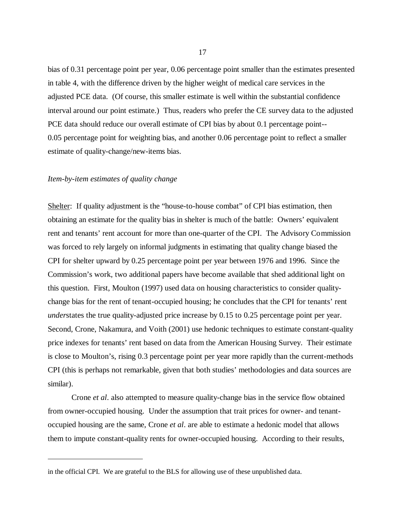bias of 0.31 percentage point per year, 0.06 percentage point smaller than the estimates presented in table 4, with the difference driven by the higher weight of medical care services in the adjusted PCE data. (Of course, this smaller estimate is well within the substantial confidence interval around our point estimate.) Thus, readers who prefer the CE survey data to the adjusted PCE data should reduce our overall estimate of CPI bias by about 0.1 percentage point-- 0.05 percentage point for weighting bias, and another 0.06 percentage point to reflect a smaller estimate of quality-change/new-items bias.

#### *Item-by-item estimates of quality change*

Shelter: If quality adjustment is the "house-to-house combat" of CPI bias estimation, then obtaining an estimate for the quality bias in shelter is much of the battle: Owners' equivalent rent and tenants' rent account for more than one-quarter of the CPI. The Advisory Commission was forced to rely largely on informal judgments in estimating that quality change biased the CPI for shelter upward by 0.25 percentage point per year between 1976 and 1996. Since the Commission's work, two additional papers have become available that shed additional light on this question. First, Moulton (1997) used data on housing characteristics to consider qualitychange bias for the rent of tenant-occupied housing; he concludes that the CPI for tenants' rent *understates the true quality-adjusted price increase by 0.15 to 0.25 percentage point per year.* Second, Crone, Nakamura, and Voith (2001) use hedonic techniques to estimate constant-quality price indexes for tenants' rent based on data from the American Housing Survey. Their estimate is close to Moulton's, rising 0.3 percentage point per year more rapidly than the current-methods CPI (this is perhaps not remarkable, given that both studies' methodologies and data sources are similar).

Crone *et al*. also attempted to measure quality-change bias in the service flow obtained from owner-occupied housing. Under the assumption that trait prices for owner- and tenantoccupied housing are the same, Crone *et al*. are able to estimate a hedonic model that allows them to impute constant-quality rents for owner-occupied housing. According to their results,

in the official CPI. We are grateful to the BLS for allowing use of these unpublished data.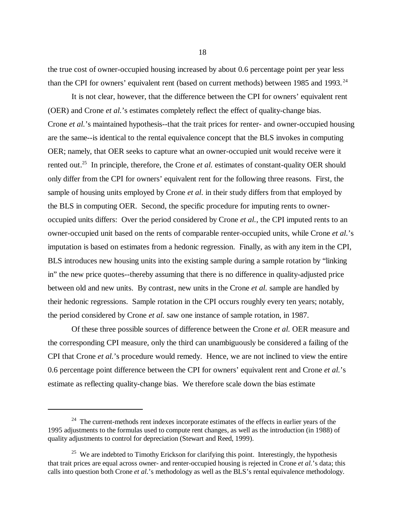the true cost of owner-occupied housing increased by about 0.6 percentage point per year less than the CPI for owners' equivalent rent (based on current methods) between 1985 and 1993.<sup>24</sup>

It is not clear, however, that the difference between the CPI for owners' equivalent rent (OER) and Crone *et al.*'s estimates completely reflect the effect of quality-change bias. Crone *et al.*'s maintained hypothesis--that the trait prices for renter- and owner-occupied housing are the same--is identical to the rental equivalence concept that the BLS invokes in computing OER; namely, that OER seeks to capture what an owner-occupied unit would receive were it rented out.<sup>25</sup> In principle, therefore, the Crone *et al.* estimates of constant-quality OER should only differ from the CPI for owners' equivalent rent for the following three reasons. First, the sample of housing units employed by Crone *et al.* in their study differs from that employed by the BLS in computing OER. Second, the specific procedure for imputing rents to owneroccupied units differs: Over the period considered by Crone *et al.*, the CPI imputed rents to an owner-occupied unit based on the rents of comparable renter-occupied units, while Crone *et al.*'s imputation is based on estimates from a hedonic regression. Finally, as with any item in the CPI, BLS introduces new housing units into the existing sample during a sample rotation by "linking in" the new price quotes--thereby assuming that there is no difference in quality-adjusted price between old and new units. By contrast, new units in the Crone *et al.* sample are handled by their hedonic regressions. Sample rotation in the CPI occurs roughly every ten years; notably, the period considered by Crone *et al.* saw one instance of sample rotation, in 1987.

Of these three possible sources of difference between the Crone *et al.* OER measure and the corresponding CPI measure, only the third can unambiguously be considered a failing of the CPI that Crone *et al.*'s procedure would remedy. Hence, we are not inclined to view the entire 0.6 percentage point difference between the CPI for owners' equivalent rent and Crone *et al.*'s estimate as reflecting quality-change bias. We therefore scale down the bias estimate

 $24$  The current-methods rent indexes incorporate estimates of the effects in earlier years of the 1995 adjustments to the formulas used to compute rent changes, as well as the introduction (in 1988) of quality adjustments to control for depreciation (Stewart and Reed, 1999).

<sup>&</sup>lt;sup>25</sup> We are indebted to Timothy Erickson for clarifying this point. Interestingly, the hypothesis that trait prices are equal across owner- and renter-occupied housing is rejected in Crone *et al.*'s data; this calls into question both Crone *et al.*'s methodology as well as the BLS's rental equivalence methodology.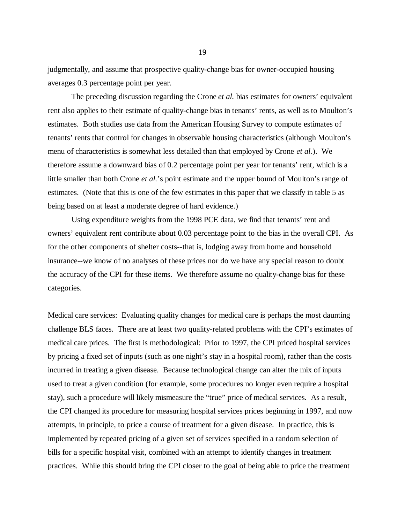judgmentally, and assume that prospective quality-change bias for owner-occupied housing averages 0.3 percentage point per year.

The preceding discussion regarding the Crone *et al.* bias estimates for owners' equivalent rent also applies to their estimate of quality-change bias in tenants' rents, as well as to Moulton's estimates. Both studies use data from the American Housing Survey to compute estimates of tenants' rents that control for changes in observable housing characteristics (although Moulton's menu of characteristics is somewhat less detailed than that employed by Crone *et al.*). We therefore assume a downward bias of 0.2 percentage point per year for tenants' rent, which is a little smaller than both Crone *et al.*'s point estimate and the upper bound of Moulton's range of estimates. (Note that this is one of the few estimates in this paper that we classify in table 5 as being based on at least a moderate degree of hard evidence.)

Using expenditure weights from the 1998 PCE data, we find that tenants' rent and owners' equivalent rent contribute about 0.03 percentage point to the bias in the overall CPI. As for the other components of shelter costs--that is, lodging away from home and household insurance--we know of no analyses of these prices nor do we have any special reason to doubt the accuracy of the CPI for these items. We therefore assume no quality-change bias for these categories.

Medical care services: Evaluating quality changes for medical care is perhaps the most daunting challenge BLS faces. There are at least two quality-related problems with the CPI's estimates of medical care prices. The first is methodological: Prior to 1997, the CPI priced hospital services by pricing a fixed set of inputs (such as one night's stay in a hospital room), rather than the costs incurred in treating a given disease. Because technological change can alter the mix of inputs used to treat a given condition (for example, some procedures no longer even require a hospital stay), such a procedure will likely mismeasure the "true" price of medical services. As a result, the CPI changed its procedure for measuring hospital services prices beginning in 1997, and now attempts, in principle, to price a course of treatment for a given disease. In practice, this is implemented by repeated pricing of a given set of services specified in a random selection of bills for a specific hospital visit, combined with an attempt to identify changes in treatment practices. While this should bring the CPI closer to the goal of being able to price the treatment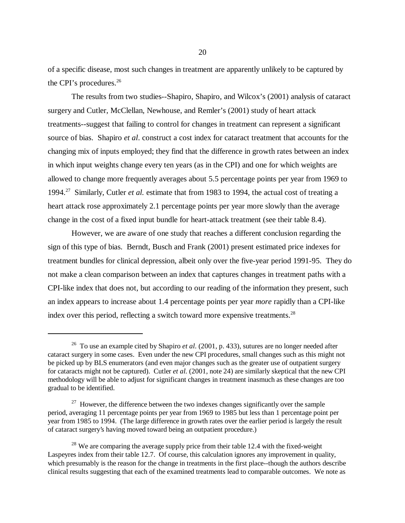of a specific disease, most such changes in treatment are apparently unlikely to be captured by the CPI's procedures.<sup>26</sup>

The results from two studies--Shapiro, Shapiro, and Wilcox's (2001) analysis of cataract surgery and Cutler, McClellan, Newhouse, and Remler's (2001) study of heart attack treatments--suggest that failing to control for changes in treatment can represent a significant source of bias. Shapiro *et al*. construct a cost index for cataract treatment that accounts for the changing mix of inputs employed; they find that the difference in growth rates between an index in which input weights change every ten years (as in the CPI) and one for which weights are allowed to change more frequently averages about 5.5 percentage points per year from 1969 to 1994.27 Similarly, Cutler *et al.* estimate that from 1983 to 1994, the actual cost of treating a heart attack rose approximately 2.1 percentage points per year more slowly than the average change in the cost of a fixed input bundle for heart-attack treatment (see their table 8.4).

However, we are aware of one study that reaches a different conclusion regarding the sign of this type of bias. Berndt, Busch and Frank (2001) present estimated price indexes for treatment bundles for clinical depression, albeit only over the five-year period 1991-95. They do not make a clean comparison between an index that captures changes in treatment paths with a CPI-like index that does not, but according to our reading of the information they present, such an index appears to increase about 1.4 percentage points per year *more* rapidly than a CPI-like index over this period, reflecting a switch toward more expensive treatments.<sup>28</sup>

<sup>26</sup> To use an example cited by Shapiro *et al.* (2001, p. 433), sutures are no longer needed after cataract surgery in some cases. Even under the new CPI procedures, small changes such as this might not be picked up by BLS enumerators (and even major changes such as the greater use of outpatient surgery for cataracts might not be captured). Cutler *et al.* (2001, note 24) are similarly skeptical that the new CPI methodology will be able to adjust for significant changes in treatment inasmuch as these changes are too gradual to be identified.

 $27$  However, the difference between the two indexes changes significantly over the sample period, averaging 11 percentage points per year from 1969 to 1985 but less than 1 percentage point per year from 1985 to 1994. (The large difference in growth rates over the earlier period is largely the result of cataract surgery's having moved toward being an outpatient procedure.)

 $^{28}$  We are comparing the average supply price from their table 12.4 with the fixed-weight Laspeyres index from their table 12.7. Of course, this calculation ignores any improvement in quality, which presumably is the reason for the change in treatments in the first place--though the authors describe clinical results suggesting that each of the examined treatments lead to comparable outcomes. We note as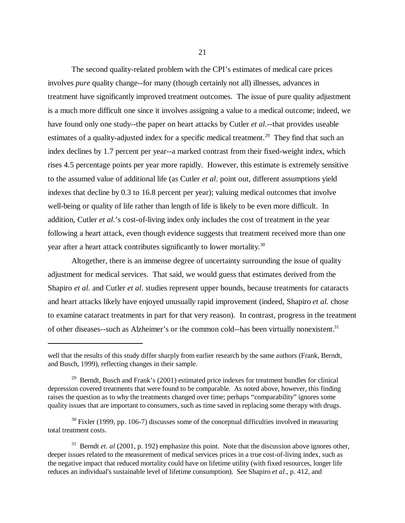The second quality-related problem with the CPI's estimates of medical care prices involves *pure* quality change--for many (though certainly not all) illnesses, advances in treatment have significantly improved treatment outcomes. The issue of pure quality adjustment is a much more difficult one since it involves assigning a value to a medical outcome; indeed, we have found only one study--the paper on heart attacks by Cutler *et al.*--that provides useable estimates of a quality-adjusted index for a specific medical treatment.<sup>29</sup> They find that such an index declines by 1.7 percent per year--a marked contrast from their fixed-weight index, which rises 4.5 percentage points per year more rapidly. However, this estimate is extremely sensitive to the assumed value of additional life (as Cutler *et al*. point out, different assumptions yield indexes that decline by 0.3 to 16.8 percent per year); valuing medical outcomes that involve well-being or quality of life rather than length of life is likely to be even more difficult. In addition, Cutler *et al.*'s cost-of-living index only includes the cost of treatment in the year following a heart attack, even though evidence suggests that treatment received more than one year after a heart attack contributes significantly to lower mortality.<sup>30</sup>

Altogether, there is an immense degree of uncertainty surrounding the issue of quality adjustment for medical services. That said, we would guess that estimates derived from the Shapiro *et al*. and Cutler *et al*. studies represent upper bounds, because treatments for cataracts and heart attacks likely have enjoyed unusually rapid improvement (indeed, Shapiro *et al.* chose to examine cataract treatments in part for that very reason). In contrast, progress in the treatment of other diseases--such as Alzheimer's or the common cold--has been virtually nonexistent.<sup>31</sup>

well that the results of this study differ sharply from earlier research by the same authors (Frank, Berndt, and Busch, 1999), reflecting changes in their sample.

 $29$  Berndt, Busch and Frank's (2001) estimated price indexes for treatment bundles for clinical depression covered treatments that were found to be comparable. As noted above, however, this finding raises the question as to why the treatments changed over time; perhaps "comparability" ignores some quality issues that are important to consumers, such as time saved in replacing some therapy with drugs.

 $30$  Fixler (1999, pp. 106-7) discusses some of the conceptual difficulties involved in measuring total treatment costs.

<sup>&</sup>lt;sup>31</sup> Berndt *et. al* (2001, p. 192) emphasize this point. Note that the discussion above ignores other, deeper issues related to the measurement of medical services prices in a true cost-of-living index, such as the negative impact that reduced mortality could have on lifetime utility (with fixed resources, longer life reduces an individual's sustainable level of lifetime consumption). See Shapiro *et al*., p. 412, and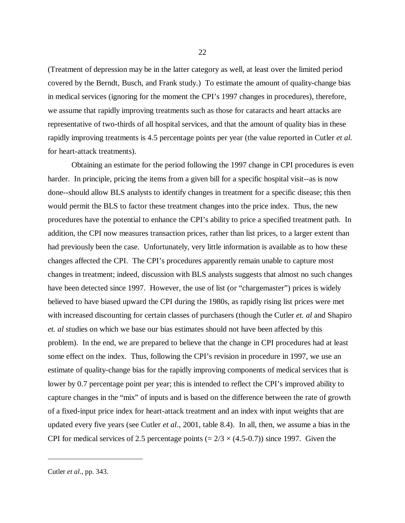(Treatment of depression may be in the latter category as well, at least over the limited period covered by the Berndt, Busch, and Frank study.) To estimate the amount of quality-change bias in medical services (ignoring for the moment the CPI's 1997 changes in procedures), therefore, we assume that rapidly improving treatments such as those for cataracts and heart attacks are representative of two-thirds of all hospital services, and that the amount of quality bias in these rapidly improving treatments is 4.5 percentage points per year (the value reported in Cutler *et al.* for heart-attack treatments).

Obtaining an estimate for the period following the 1997 change in CPI procedures is even harder. In principle, pricing the items from a given bill for a specific hospital visit--as is now done--should allow BLS analysts to identify changes in treatment for a specific disease; this then would permit the BLS to factor these treatment changes into the price index. Thus, the new procedures have the potential to enhance the CPI's ability to price a specified treatment path. In addition, the CPI now measures transaction prices, rather than list prices, to a larger extent than had previously been the case. Unfortunately, very little information is available as to how these changes affected the CPI. The CPI's procedures apparently remain unable to capture most changes in treatment; indeed, discussion with BLS analysts suggests that almost no such changes have been detected since 1997. However, the use of list (or "chargemaster") prices is widely believed to have biased upward the CPI during the 1980s, as rapidly rising list prices were met with increased discounting for certain classes of purchasers (though the Cutler *et. al* and Shapiro *et. al* studies on which we base our bias estimates should not have been affected by this problem). In the end, we are prepared to believe that the change in CPI procedures had at least some effect on the index. Thus, following the CPI's revision in procedure in 1997, we use an estimate of quality-change bias for the rapidly improving components of medical services that is lower by 0.7 percentage point per year; this is intended to reflect the CPI's improved ability to capture changes in the "mix" of inputs and is based on the difference between the rate of growth of a fixed-input price index for heart-attack treatment and an index with input weights that are updated every five years (see Cutler *et al.*, 2001, table 8.4). In all, then, we assume a bias in the CPI for medical services of 2.5 percentage points (=  $2/3 \times (4.5{\text -}0.7)$ ) since 1997. Given the

Cutler *et al.,* pp. 343.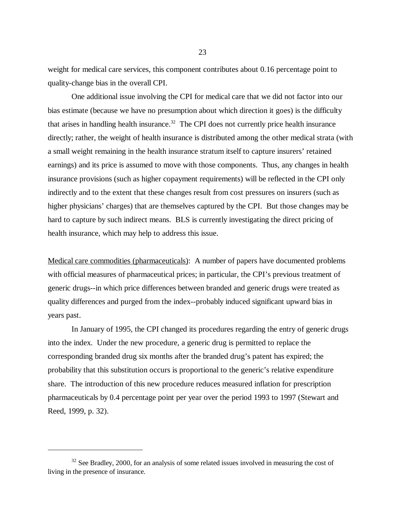weight for medical care services, this component contributes about 0.16 percentage point to quality-change bias in the overall CPI.

One additional issue involving the CPI for medical care that we did not factor into our bias estimate (because we have no presumption about which direction it goes) is the difficulty that arises in handling health insurance.<sup>32</sup> The CPI does not currently price health insurance directly; rather, the weight of health insurance is distributed among the other medical strata (with a small weight remaining in the health insurance stratum itself to capture insurers' retained earnings) and its price is assumed to move with those components. Thus, any changes in health insurance provisions (such as higher copayment requirements) will be reflected in the CPI only indirectly and to the extent that these changes result from cost pressures on insurers (such as higher physicians' charges) that are themselves captured by the CPI. But those changes may be hard to capture by such indirect means. BLS is currently investigating the direct pricing of health insurance, which may help to address this issue.

Medical care commodities (pharmaceuticals): A number of papers have documented problems with official measures of pharmaceutical prices; in particular, the CPI's previous treatment of generic drugs--in which price differences between branded and generic drugs were treated as quality differences and purged from the index--probably induced significant upward bias in years past.

In January of 1995, the CPI changed its procedures regarding the entry of generic drugs into the index. Under the new procedure, a generic drug is permitted to replace the corresponding branded drug six months after the branded drug's patent has expired; the probability that this substitution occurs is proportional to the generic's relative expenditure share. The introduction of this new procedure reduces measured inflation for prescription pharmaceuticals by 0.4 percentage point per year over the period 1993 to 1997 (Stewart and Reed, 1999, p. 32).

 $32$  See Bradley, 2000, for an analysis of some related issues involved in measuring the cost of living in the presence of insurance.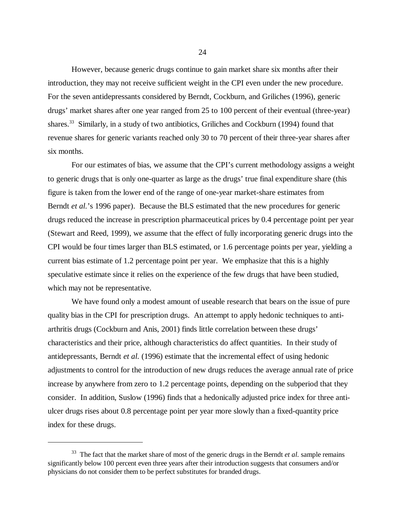However, because generic drugs continue to gain market share six months after their introduction, they may not receive sufficient weight in the CPI even under the new procedure. For the seven antidepressants considered by Berndt, Cockburn, and Griliches (1996), generic drugs' market shares after one year ranged from 25 to 100 percent of their eventual (three-year) shares.<sup>33</sup> Similarly, in a study of two antibiotics, Griliches and Cockburn (1994) found that revenue shares for generic variants reached only 30 to 70 percent of their three-year shares after six months.

For our estimates of bias, we assume that the CPI's current methodology assigns a weight to generic drugs that is only one-quarter as large as the drugs' true final expenditure share (this figure is taken from the lower end of the range of one-year market-share estimates from Berndt *et al.*'s 1996 paper). Because the BLS estimated that the new procedures for generic drugs reduced the increase in prescription pharmaceutical prices by 0.4 percentage point per year (Stewart and Reed, 1999), we assume that the effect of fully incorporating generic drugs into the CPI would be four times larger than BLS estimated, or 1.6 percentage points per year, yielding a current bias estimate of 1.2 percentage point per year. We emphasize that this is a highly speculative estimate since it relies on the experience of the few drugs that have been studied, which may not be representative.

We have found only a modest amount of useable research that bears on the issue of pure quality bias in the CPI for prescription drugs. An attempt to apply hedonic techniques to antiarthritis drugs (Cockburn and Anis, 2001) finds little correlation between these drugs' characteristics and their price, although characteristics do affect quantities. In their study of antidepressants, Berndt *et al.* (1996) estimate that the incremental effect of using hedonic adjustments to control for the introduction of new drugs reduces the average annual rate of price increase by anywhere from zero to 1.2 percentage points, depending on the subperiod that they consider. In addition, Suslow (1996) finds that a hedonically adjusted price index for three antiulcer drugs rises about 0.8 percentage point per year more slowly than a fixed-quantity price index for these drugs.

<sup>&</sup>lt;sup>33</sup> The fact that the market share of most of the generic drugs in the Berndt *et al.* sample remains significantly below 100 percent even three years after their introduction suggests that consumers and/or physicians do not consider them to be perfect substitutes for branded drugs.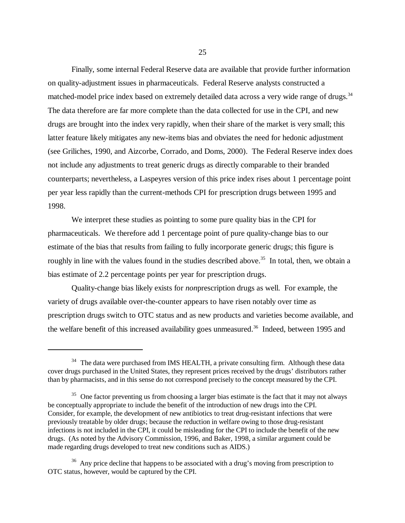Finally, some internal Federal Reserve data are available that provide further information on quality-adjustment issues in pharmaceuticals. Federal Reserve analysts constructed a matched-model price index based on extremely detailed data across a very wide range of drugs.<sup>34</sup> The data therefore are far more complete than the data collected for use in the CPI, and new drugs are brought into the index very rapidly, when their share of the market is very small; this latter feature likely mitigates any new-items bias and obviates the need for hedonic adjustment (see Griliches, 1990, and Aizcorbe, Corrado, and Doms, 2000). The Federal Reserve index does not include any adjustments to treat generic drugs as directly comparable to their branded counterparts; nevertheless, a Laspeyres version of this price index rises about 1 percentage point per year less rapidly than the current-methods CPI for prescription drugs between 1995 and 1998.

We interpret these studies as pointing to some pure quality bias in the CPI for pharmaceuticals. We therefore add 1 percentage point of pure quality-change bias to our estimate of the bias that results from failing to fully incorporate generic drugs; this figure is roughly in line with the values found in the studies described above.<sup>35</sup> In total, then, we obtain a bias estimate of 2.2 percentage points per year for prescription drugs.

Quality-change bias likely exists for *non*prescription drugs as well. For example, the variety of drugs available over-the-counter appears to have risen notably over time as prescription drugs switch to OTC status and as new products and varieties become available, and the welfare benefit of this increased availability goes unmeasured.<sup>36</sup> Indeed, between 1995 and

 $34$  The data were purchased from IMS HEALTH, a private consulting firm. Although these data cover drugs purchased in the United States, they represent prices received by the drugs' distributors rather than by pharmacists, and in this sense do not correspond precisely to the concept measured by the CPI.

 $35$  One factor preventing us from choosing a larger bias estimate is the fact that it may not always be conceptually appropriate to include the benefit of the introduction of new drugs into the CPI. Consider, for example, the development of new antibiotics to treat drug-resistant infections that were previously treatable by older drugs; because the reduction in welfare owing to those drug-resistant infections is not included in the CPI, it could be misleading for the CPI to include the benefit of the new drugs. (As noted by the Advisory Commission, 1996, and Baker, 1998, a similar argument could be made regarding drugs developed to treat new conditions such as AIDS.)

 $36$  Any price decline that happens to be associated with a drug's moving from prescription to OTC status, however, would be captured by the CPI.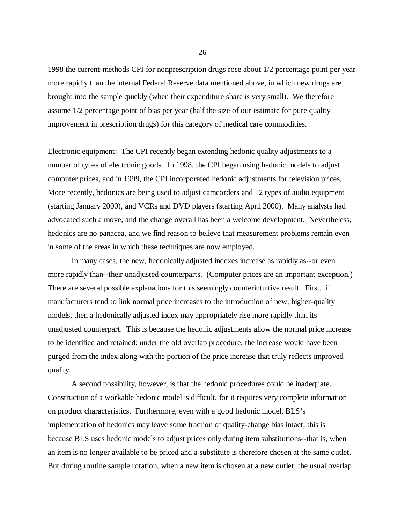1998 the current-methods CPI for nonprescription drugs rose about 1/2 percentage point per year more rapidly than the internal Federal Reserve data mentioned above, in which new drugs are brought into the sample quickly (when their expenditure share is very small). We therefore assume 1/2 percentage point of bias per year (half the size of our estimate for pure quality improvement in prescription drugs) for this category of medical care commodities.

Electronic equipment: The CPI recently began extending hedonic quality adjustments to a number of types of electronic goods. In 1998, the CPI began using hedonic models to adjust computer prices, and in 1999, the CPI incorporated hedonic adjustments for television prices. More recently, hedonics are being used to adjust camcorders and 12 types of audio equipment (starting January 2000), and VCRs and DVD players (starting April 2000). Many analysts had advocated such a move, and the change overall has been a welcome development. Nevertheless, hedonics are no panacea, and we find reason to believe that measurement problems remain even in some of the areas in which these techniques are now employed.

In many cases, the new, hedonically adjusted indexes increase as rapidly as--or even more rapidly than--their unadjusted counterparts. (Computer prices are an important exception.) There are several possible explanations for this seemingly counterintuitive result. First, if manufacturers tend to link normal price increases to the introduction of new, higher-quality models, then a hedonically adjusted index may appropriately rise more rapidly than its unadjusted counterpart. This is because the hedonic adjustments allow the normal price increase to be identified and retained; under the old overlap procedure, the increase would have been purged from the index along with the portion of the price increase that truly reflects improved quality.

A second possibility, however, is that the hedonic procedures could be inadequate. Construction of a workable hedonic model is difficult, for it requires very complete information on product characteristics. Furthermore, even with a good hedonic model, BLS's implementation of hedonics may leave some fraction of quality-change bias intact; this is because BLS uses hedonic models to adjust prices only during item substitutions--that is, when an item is no longer available to be priced and a substitute is therefore chosen at the same outlet. But during routine sample rotation, when a new item is chosen at a new outlet, the usual overlap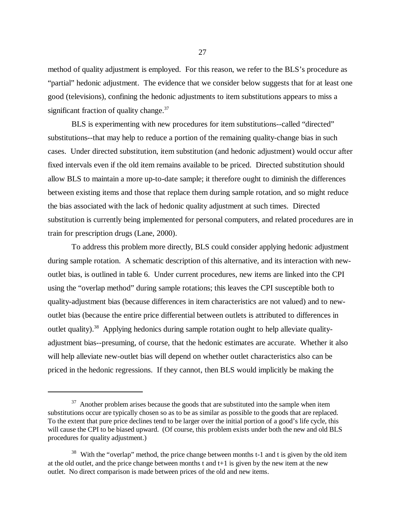method of quality adjustment is employed. For this reason, we refer to the BLS's procedure as "partial" hedonic adjustment. The evidence that we consider below suggests that for at least one good (televisions), confining the hedonic adjustments to item substitutions appears to miss a significant fraction of quality change. $37$ 

BLS is experimenting with new procedures for item substitutions--called "directed" substitutions--that may help to reduce a portion of the remaining quality-change bias in such cases. Under directed substitution, item substitution (and hedonic adjustment) would occur after fixed intervals even if the old item remains available to be priced. Directed substitution should allow BLS to maintain a more up-to-date sample; it therefore ought to diminish the differences between existing items and those that replace them during sample rotation, and so might reduce the bias associated with the lack of hedonic quality adjustment at such times. Directed substitution is currently being implemented for personal computers, and related procedures are in train for prescription drugs (Lane, 2000).

To address this problem more directly, BLS could consider applying hedonic adjustment during sample rotation. A schematic description of this alternative, and its interaction with newoutlet bias, is outlined in table 6. Under current procedures, new items are linked into the CPI using the "overlap method" during sample rotations; this leaves the CPI susceptible both to quality-adjustment bias (because differences in item characteristics are not valued) and to newoutlet bias (because the entire price differential between outlets is attributed to differences in outlet quality).<sup>38</sup> Applying hedonics during sample rotation ought to help alleviate qualityadjustment bias--presuming, of course, that the hedonic estimates are accurate. Whether it also will help alleviate new-outlet bias will depend on whether outlet characteristics also can be priced in the hedonic regressions. If they cannot, then BLS would implicitly be making the

 $37$  Another problem arises because the goods that are substituted into the sample when item substitutions occur are typically chosen so as to be as similar as possible to the goods that are replaced. To the extent that pure price declines tend to be larger over the initial portion of a good's life cycle, this will cause the CPI to be biased upward. (Of course, this problem exists under both the new and old BLS procedures for quality adjustment.)

<sup>&</sup>lt;sup>38</sup> With the "overlap" method, the price change between months t-1 and t is given by the old item at the old outlet, and the price change between months t and t+1 is given by the new item at the new outlet. No direct comparison is made between prices of the old and new items.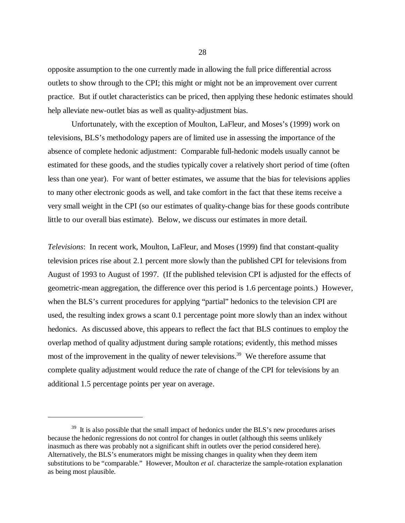opposite assumption to the one currently made in allowing the full price differential across outlets to show through to the CPI; this might or might not be an improvement over current practice. But if outlet characteristics can be priced, then applying these hedonic estimates should help alleviate new-outlet bias as well as quality-adjustment bias.

Unfortunately, with the exception of Moulton, LaFleur, and Moses's (1999) work on televisions, BLS's methodology papers are of limited use in assessing the importance of the absence of complete hedonic adjustment: Comparable full-hedonic models usually cannot be estimated for these goods, and the studies typically cover a relatively short period of time (often less than one year). For want of better estimates, we assume that the bias for televisions applies to many other electronic goods as well, and take comfort in the fact that these items receive a very small weight in the CPI (so our estimates of quality-change bias for these goods contribute little to our overall bias estimate). Below, we discuss our estimates in more detail.

*Televisions*: In recent work, Moulton, LaFleur, and Moses (1999) find that constant-quality television prices rise about 2.1 percent more slowly than the published CPI for televisions from August of 1993 to August of 1997. (If the published television CPI is adjusted for the effects of geometric-mean aggregation, the difference over this period is 1.6 percentage points.) However, when the BLS's current procedures for applying "partial" hedonics to the television CPI are used, the resulting index grows a scant 0.1 percentage point more slowly than an index without hedonics. As discussed above, this appears to reflect the fact that BLS continues to employ the overlap method of quality adjustment during sample rotations; evidently, this method misses most of the improvement in the quality of newer televisions.<sup>39</sup> We therefore assume that complete quality adjustment would reduce the rate of change of the CPI for televisions by an additional 1.5 percentage points per year on average.

 $39$  It is also possible that the small impact of hedonics under the BLS's new procedures arises because the hedonic regressions do not control for changes in outlet (although this seems unlikely inasmuch as there was probably not a significant shift in outlets over the period considered here). Alternatively, the BLS's enumerators might be missing changes in quality when they deem item substitutions to be "comparable." However, Moulton *et al.* characterize the sample-rotation explanation as being most plausible.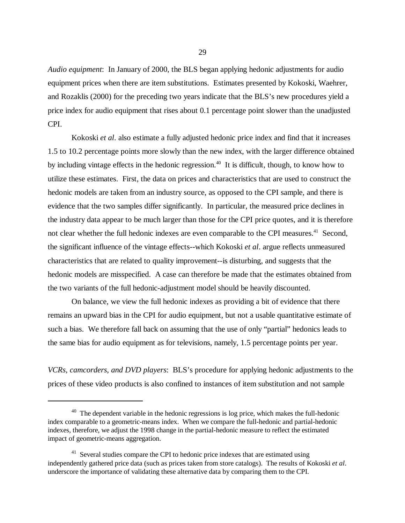*Audio equipment*: In January of 2000, the BLS began applying hedonic adjustments for audio equipment prices when there are item substitutions. Estimates presented by Kokoski, Waehrer, and Rozaklis (2000) for the preceding two years indicate that the BLS's new procedures yield a price index for audio equipment that rises about 0.1 percentage point slower than the unadjusted CPI.

Kokoski *et al*. also estimate a fully adjusted hedonic price index and find that it increases 1.5 to 10.2 percentage points more slowly than the new index, with the larger difference obtained by including vintage effects in the hedonic regression.<sup>40</sup> It is difficult, though, to know how to utilize these estimates. First, the data on prices and characteristics that are used to construct the hedonic models are taken from an industry source, as opposed to the CPI sample, and there is evidence that the two samples differ significantly. In particular, the measured price declines in the industry data appear to be much larger than those for the CPI price quotes, and it is therefore not clear whether the full hedonic indexes are even comparable to the CPI measures.<sup>41</sup> Second, the significant influence of the vintage effects--which Kokoski *et al*. argue reflects unmeasured characteristics that are related to quality improvement--is disturbing, and suggests that the hedonic models are misspecified. A case can therefore be made that the estimates obtained from the two variants of the full hedonic-adjustment model should be heavily discounted.

On balance, we view the full hedonic indexes as providing a bit of evidence that there remains an upward bias in the CPI for audio equipment, but not a usable quantitative estimate of such a bias. We therefore fall back on assuming that the use of only "partial" hedonics leads to the same bias for audio equipment as for televisions, namely, 1.5 percentage points per year.

*VCRs, camcorders, and DVD players*: BLS's procedure for applying hedonic adjustments to the prices of these video products is also confined to instances of item substitution and not sample

 $40$  The dependent variable in the hedonic regressions is log price, which makes the full-hedonic index comparable to a geometric-means index. When we compare the full-hedonic and partial-hedonic indexes, therefore, we adjust the 1998 change in the partial-hedonic measure to reflect the estimated impact of geometric-means aggregation.

<sup>&</sup>lt;sup>41</sup> Several studies compare the CPI to hedonic price indexes that are estimated using independently gathered price data (such as prices taken from store catalogs). The results of Kokoski *et al*. underscore the importance of validating these alternative data by comparing them to the CPI.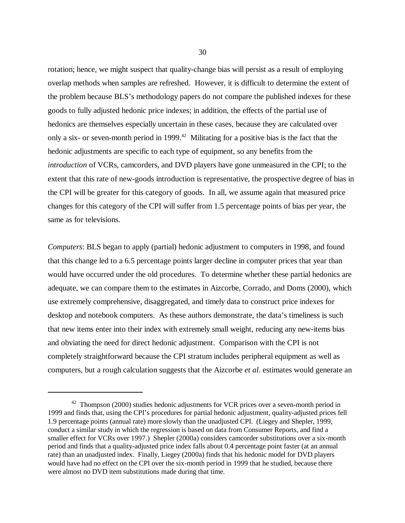rotation; hence, we might suspect that quality-change bias will persist as a result of employing overlap methods when samples are refreshed. However, it is difficult to determine the extent of the problem because BLS's methodology papers do not compare the published indexes for these goods to fully adjusted hedonic price indexes; in addition, the effects of the partial use of hedonics are themselves especially uncertain in these cases, because they are calculated over only a six- or seven-month period in 1999.<sup>42</sup> Militating for a positive bias is the fact that the hedonic adjustments are specific to each type of equipment, so any benefits from the *introduction* of VCRs, camcorders, and DVD players have gone unmeasured in the CPI; to the extent that this rate of new-goods introduction is representative, the prospective degree of bias in the CPI will be greater for this category of goods. In all, we assume again that measured price changes for this category of the CPI will suffer from 1.5 percentage points of bias per year, the same as for televisions.

*Computers*: BLS began to apply (partial) hedonic adjustment to computers in 1998, and found that this change led to a 6.5 percentage points larger decline in computer prices that year than would have occurred under the old procedures. To determine whether these partial hedonics are adequate, we can compare them to the estimates in Aizcorbe, Corrado, and Doms (2000), which use extremely comprehensive, disaggregated, and timely data to construct price indexes for desktop and notebook computers. As these authors demonstrate, the data's timeliness is such that new items enter into their index with extremely small weight, reducing any new-items bias and obviating the need for direct hedonic adjustment. Comparison with the CPI is not completely straightforward because the CPI stratum includes peripheral equipment as well as computers, but a rough calculation suggests that the Aizcorbe *et al.* estimates would generate an

<sup>&</sup>lt;sup>42</sup> Thompson (2000) studies hedonic adjustments for VCR prices over a seven-month period in 1999 and finds that, using the CPI's procedures for partial hedonic adjustment, quality-adjusted prices fell 1.9 percentage points (annual rate) more slowly than the unadjusted CPI. (Liegey and Shepler, 1999, conduct a similar study in which the regression is based on data from Consumer Reports, and find a smaller effect for VCRs over 1997.) Shepler (2000a) considers camcorder substitutions over a six-month period and finds that a quality-adjusted price index falls about 0.4 percentage point faster (at an annual rate) than an unadjusted index. Finally, Liegey (2000a) finds that his hedonic model for DVD players would have had no effect on the CPI over the six-month period in 1999 that he studied, because there were almost no DVD item substitutions made during that time.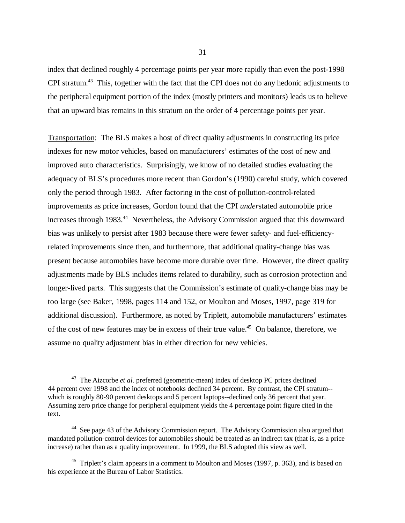index that declined roughly 4 percentage points per year more rapidly than even the post-1998 CPI stratum.<sup>43</sup> This, together with the fact that the CPI does not do any hedonic adjustments to the peripheral equipment portion of the index (mostly printers and monitors) leads us to believe that an upward bias remains in this stratum on the order of 4 percentage points per year.

Transportation: The BLS makes a host of direct quality adjustments in constructing its price indexes for new motor vehicles, based on manufacturers' estimates of the cost of new and improved auto characteristics. Surprisingly, we know of no detailed studies evaluating the adequacy of BLS's procedures more recent than Gordon's (1990) careful study, which covered only the period through 1983. After factoring in the cost of pollution-control-related improvements as price increases, Gordon found that the CPI *under*stated automobile price increases through 1983.<sup>44</sup> Nevertheless, the Advisory Commission argued that this downward bias was unlikely to persist after 1983 because there were fewer safety- and fuel-efficiencyrelated improvements since then, and furthermore, that additional quality-change bias was present because automobiles have become more durable over time. However, the direct quality adjustments made by BLS includes items related to durability, such as corrosion protection and longer-lived parts. This suggests that the Commission's estimate of quality-change bias may be too large (see Baker, 1998, pages 114 and 152, or Moulton and Moses, 1997, page 319 for additional discussion). Furthermore, as noted by Triplett, automobile manufacturers' estimates of the cost of new features may be in excess of their true value.45 On balance, therefore, we assume no quality adjustment bias in either direction for new vehicles.

<sup>&</sup>lt;sup>43</sup> The Aizcorbe *et al.* preferred (geometric-mean) index of desktop PC prices declined 44 percent over 1998 and the index of notebooks declined 34 percent. By contrast, the CPI stratum- which is roughly 80-90 percent desktops and 5 percent laptops--declined only 36 percent that year. Assuming zero price change for peripheral equipment yields the 4 percentage point figure cited in the text.

<sup>&</sup>lt;sup>44</sup> See page 43 of the Advisory Commission report. The Advisory Commission also argued that mandated pollution-control devices for automobiles should be treated as an indirect tax (that is, as a price increase) rather than as a quality improvement. In 1999, the BLS adopted this view as well.

 $45$  Triplett's claim appears in a comment to Moulton and Moses (1997, p. 363), and is based on his experience at the Bureau of Labor Statistics.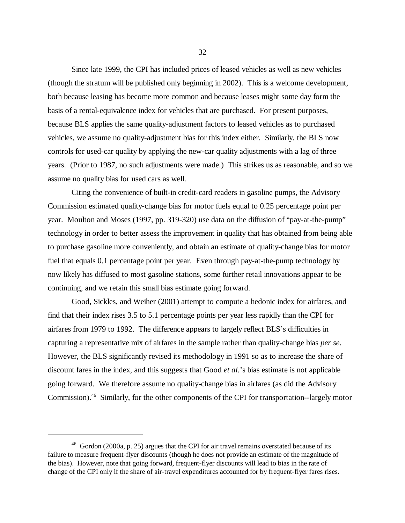Since late 1999, the CPI has included prices of leased vehicles as well as new vehicles (though the stratum will be published only beginning in 2002). This is a welcome development, both because leasing has become more common and because leases might some day form the basis of a rental-equivalence index for vehicles that are purchased. For present purposes, because BLS applies the same quality-adjustment factors to leased vehicles as to purchased vehicles, we assume no quality-adjustment bias for this index either. Similarly, the BLS now controls for used-car quality by applying the new-car quality adjustments with a lag of three years. (Prior to 1987, no such adjustments were made.) This strikes us as reasonable, and so we assume no quality bias for used cars as well.

Citing the convenience of built-in credit-card readers in gasoline pumps, the Advisory Commission estimated quality-change bias for motor fuels equal to 0.25 percentage point per year. Moulton and Moses (1997, pp. 319-320) use data on the diffusion of "pay-at-the-pump" technology in order to better assess the improvement in quality that has obtained from being able to purchase gasoline more conveniently, and obtain an estimate of quality-change bias for motor fuel that equals 0.1 percentage point per year. Even through pay-at-the-pump technology by now likely has diffused to most gasoline stations, some further retail innovations appear to be continuing, and we retain this small bias estimate going forward.

Good, Sickles, and Weiher (2001) attempt to compute a hedonic index for airfares, and find that their index rises 3.5 to 5.1 percentage points per year less rapidly than the CPI for airfares from 1979 to 1992. The difference appears to largely reflect BLS's difficulties in capturing a representative mix of airfares in the sample rather than quality-change bias *per se*. However, the BLS significantly revised its methodology in 1991 so as to increase the share of discount fares in the index, and this suggests that Good *et al.*'s bias estimate is not applicable going forward. We therefore assume no quality-change bias in airfares (as did the Advisory Commission).46 Similarly, for the other components of the CPI for transportation--largely motor

 $46$  Gordon (2000a, p. 25) argues that the CPI for air travel remains overstated because of its failure to measure frequent-flyer discounts (though he does not provide an estimate of the magnitude of the bias). However, note that going forward, frequent-flyer discounts will lead to bias in the rate of change of the CPI only if the share of air-travel expenditures accounted for by frequent-flyer fares rises.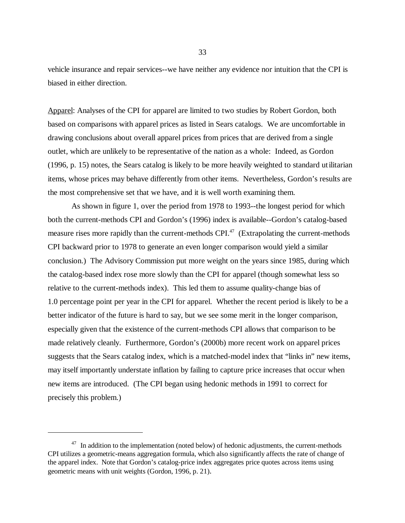vehicle insurance and repair services--we have neither any evidence nor intuition that the CPI is biased in either direction.

Apparel: Analyses of the CPI for apparel are limited to two studies by Robert Gordon, both based on comparisons with apparel prices as listed in Sears catalogs. We are uncomfortable in drawing conclusions about overall apparel prices from prices that are derived from a single outlet, which are unlikely to be representative of the nation as a whole: Indeed, as Gordon (1996, p. 15) notes, the Sears catalog is likely to be more heavily weighted to standard utilitarian items, whose prices may behave differently from other items. Nevertheless, Gordon's results are the most comprehensive set that we have, and it is well worth examining them.

As shown in figure 1, over the period from 1978 to 1993--the longest period for which both the current-methods CPI and Gordon's (1996) index is available--Gordon's catalog-based measure rises more rapidly than the current-methods CPI.<sup>47</sup> (Extrapolating the current-methods CPI backward prior to 1978 to generate an even longer comparison would yield a similar conclusion.) The Advisory Commission put more weight on the years since 1985, during which the catalog-based index rose more slowly than the CPI for apparel (though somewhat less so relative to the current-methods index). This led them to assume quality-change bias of 1.0 percentage point per year in the CPI for apparel. Whether the recent period is likely to be a better indicator of the future is hard to say, but we see some merit in the longer comparison, especially given that the existence of the current-methods CPI allows that comparison to be made relatively cleanly. Furthermore, Gordon's (2000b) more recent work on apparel prices suggests that the Sears catalog index, which is a matched-model index that "links in" new items, may itself importantly understate inflation by failing to capture price increases that occur when new items are introduced. (The CPI began using hedonic methods in 1991 to correct for precisely this problem.)

 $47$  In addition to the implementation (noted below) of hedonic adjustments, the current-methods CPI utilizes a geometric-means aggregation formula, which also significantly affects the rate of change of the apparel index. Note that Gordon's catalog-price index aggregates price quotes across items using geometric means with unit weights (Gordon, 1996, p. 21).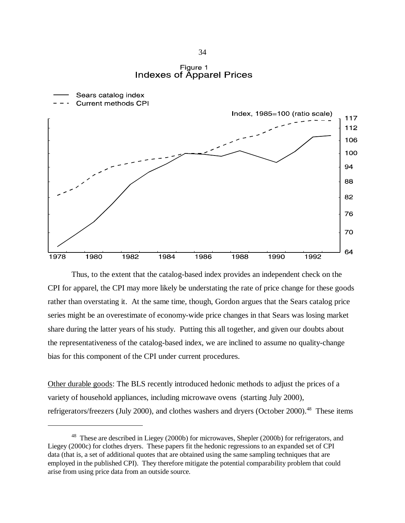Figure 1 **Indexes of Apparel Prices** 



Thus, to the extent that the catalog-based index provides an independent check on the CPI for apparel, the CPI may more likely be understating the rate of price change for these goods rather than overstating it. At the same time, though, Gordon argues that the Sears catalog price series might be an overestimate of economy-wide price changes in that Sears was losing market share during the latter years of his study. Putting this all together, and given our doubts about the representativeness of the catalog-based index, we are inclined to assume no quality-change bias for this component of the CPI under current procedures.

Other durable goods: The BLS recently introduced hedonic methods to adjust the prices of a variety of household appliances, including microwave ovens (starting July 2000), refrigerators/freezers (July 2000), and clothes washers and dryers (October 2000).<sup>48</sup> These items

<sup>&</sup>lt;sup>48</sup> These are described in Liegey (2000b) for microwaves, Shepler (2000b) for refrigerators, and Liegey (2000c) for clothes dryers. These papers fit the hedonic regressions to an expanded set of CPI data (that is, a set of additional quotes that are obtained using the same sampling techniques that are employed in the published CPI). They therefore mitigate the potential comparability problem that could arise from using price data from an outside source.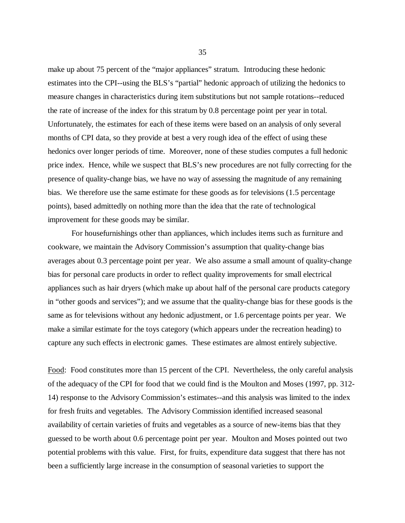make up about 75 percent of the "major appliances" stratum. Introducing these hedonic estimates into the CPI--using the BLS's "partial" hedonic approach of utilizing the hedonics to measure changes in characteristics during item substitutions but not sample rotations--reduced the rate of increase of the index for this stratum by 0.8 percentage point per year in total. Unfortunately, the estimates for each of these items were based on an analysis of only several months of CPI data, so they provide at best a very rough idea of the effect of using these hedonics over longer periods of time. Moreover, none of these studies computes a full hedonic price index. Hence, while we suspect that BLS's new procedures are not fully correcting for the presence of quality-change bias, we have no way of assessing the magnitude of any remaining bias. We therefore use the same estimate for these goods as for televisions (1.5 percentage points), based admittedly on nothing more than the idea that the rate of technological improvement for these goods may be similar.

For housefurnishings other than appliances, which includes items such as furniture and cookware, we maintain the Advisory Commission's assumption that quality-change bias averages about 0.3 percentage point per year. We also assume a small amount of quality-change bias for personal care products in order to reflect quality improvements for small electrical appliances such as hair dryers (which make up about half of the personal care products category in "other goods and services"); and we assume that the quality-change bias for these goods is the same as for televisions without any hedonic adjustment, or 1.6 percentage points per year. We make a similar estimate for the toys category (which appears under the recreation heading) to capture any such effects in electronic games. These estimates are almost entirely subjective.

Food: Food constitutes more than 15 percent of the CPI. Nevertheless, the only careful analysis of the adequacy of the CPI for food that we could find is the Moulton and Moses (1997, pp. 312- 14) response to the Advisory Commission's estimates--and this analysis was limited to the index for fresh fruits and vegetables. The Advisory Commission identified increased seasonal availability of certain varieties of fruits and vegetables as a source of new-items bias that they guessed to be worth about 0.6 percentage point per year. Moulton and Moses pointed out two potential problems with this value. First, for fruits, expenditure data suggest that there has not been a sufficiently large increase in the consumption of seasonal varieties to support the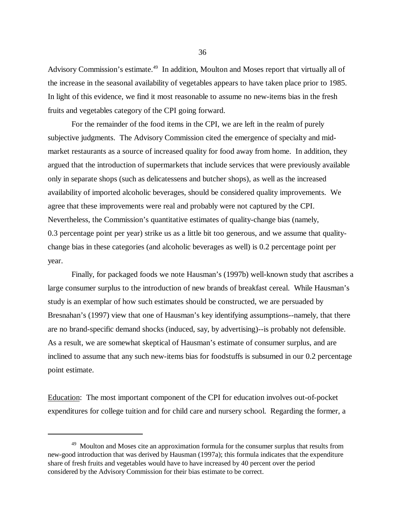Advisory Commission's estimate.<sup>49</sup> In addition, Moulton and Moses report that virtually all of the increase in the seasonal availability of vegetables appears to have taken place prior to 1985. In light of this evidence, we find it most reasonable to assume no new-items bias in the fresh fruits and vegetables category of the CPI going forward.

For the remainder of the food items in the CPI, we are left in the realm of purely subjective judgments. The Advisory Commission cited the emergence of specialty and midmarket restaurants as a source of increased quality for food away from home. In addition, they argued that the introduction of supermarkets that include services that were previously available only in separate shops (such as delicatessens and butcher shops), as well as the increased availability of imported alcoholic beverages, should be considered quality improvements. We agree that these improvements were real and probably were not captured by the CPI. Nevertheless, the Commission's quantitative estimates of quality-change bias (namely, 0.3 percentage point per year) strike us as a little bit too generous, and we assume that qualitychange bias in these categories (and alcoholic beverages as well) is 0.2 percentage point per year.

Finally, for packaged foods we note Hausman's (1997b) well-known study that ascribes a large consumer surplus to the introduction of new brands of breakfast cereal. While Hausman's study is an exemplar of how such estimates should be constructed, we are persuaded by Bresnahan's (1997) view that one of Hausman's key identifying assumptions--namely, that there are no brand-specific demand shocks (induced, say, by advertising)--is probably not defensible. As a result, we are somewhat skeptical of Hausman's estimate of consumer surplus, and are inclined to assume that any such new-items bias for foodstuffs is subsumed in our 0.2 percentage point estimate.

Education: The most important component of the CPI for education involves out-of-pocket expenditures for college tuition and for child care and nursery school. Regarding the former, a

<sup>&</sup>lt;sup>49</sup> Moulton and Moses cite an approximation formula for the consumer surplus that results from new-good introduction that was derived by Hausman (1997a); this formula indicates that the expenditure share of fresh fruits and vegetables would have to have increased by 40 percent over the period considered by the Advisory Commission for their bias estimate to be correct.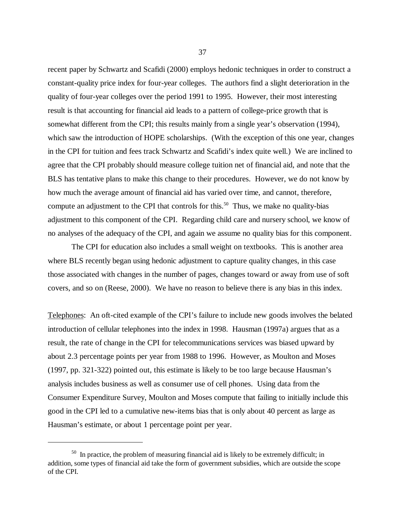recent paper by Schwartz and Scafidi (2000) employs hedonic techniques in order to construct a constant-quality price index for four-year colleges. The authors find a slight deterioration in the quality of four-year colleges over the period 1991 to 1995. However, their most interesting result is that accounting for financial aid leads to a pattern of college-price growth that is somewhat different from the CPI; this results mainly from a single year's observation (1994), which saw the introduction of HOPE scholarships. (With the exception of this one year, changes in the CPI for tuition and fees track Schwartz and Scafidi's index quite well.) We are inclined to agree that the CPI probably should measure college tuition net of financial aid, and note that the BLS has tentative plans to make this change to their procedures. However, we do not know by how much the average amount of financial aid has varied over time, and cannot, therefore, compute an adjustment to the CPI that controls for this.<sup>50</sup> Thus, we make no quality-bias adjustment to this component of the CPI. Regarding child care and nursery school, we know of no analyses of the adequacy of the CPI, and again we assume no quality bias for this component.

The CPI for education also includes a small weight on textbooks. This is another area where BLS recently began using hedonic adjustment to capture quality changes, in this case those associated with changes in the number of pages, changes toward or away from use of soft covers, and so on (Reese, 2000). We have no reason to believe there is any bias in this index.

Telephones: An oft-cited example of the CPI's failure to include new goods involves the belated introduction of cellular telephones into the index in 1998. Hausman (1997a) argues that as a result, the rate of change in the CPI for telecommunications services was biased upward by about 2.3 percentage points per year from 1988 to 1996. However, as Moulton and Moses (1997, pp. 321-322) pointed out, this estimate is likely to be too large because Hausman's analysis includes business as well as consumer use of cell phones. Using data from the Consumer Expenditure Survey, Moulton and Moses compute that failing to initially include this good in the CPI led to a cumulative new-items bias that is only about 40 percent as large as Hausman's estimate, or about 1 percentage point per year.

 $50$  In practice, the problem of measuring financial aid is likely to be extremely difficult; in addition, some types of financial aid take the form of government subsidies, which are outside the scope of the CPI.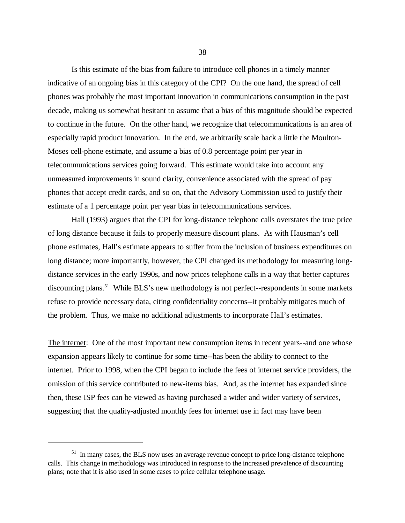Is this estimate of the bias from failure to introduce cell phones in a timely manner indicative of an ongoing bias in this category of the CPI? On the one hand, the spread of cell phones was probably the most important innovation in communications consumption in the past decade, making us somewhat hesitant to assume that a bias of this magnitude should be expected to continue in the future. On the other hand, we recognize that telecommunications is an area of especially rapid product innovation. In the end, we arbitrarily scale back a little the Moulton-Moses cell-phone estimate, and assume a bias of 0.8 percentage point per year in telecommunications services going forward. This estimate would take into account any unmeasured improvements in sound clarity, convenience associated with the spread of pay phones that accept credit cards, and so on, that the Advisory Commission used to justify their estimate of a 1 percentage point per year bias in telecommunications services.

Hall (1993) argues that the CPI for long-distance telephone calls overstates the true price of long distance because it fails to properly measure discount plans. As with Hausman's cell phone estimates, Hall's estimate appears to suffer from the inclusion of business expenditures on long distance; more importantly, however, the CPI changed its methodology for measuring longdistance services in the early 1990s, and now prices telephone calls in a way that better captures discounting plans.<sup>51</sup> While BLS's new methodology is not perfect--respondents in some markets refuse to provide necessary data, citing confidentiality concerns--it probably mitigates much of the problem. Thus, we make no additional adjustments to incorporate Hall's estimates.

The internet: One of the most important new consumption items in recent years--and one whose expansion appears likely to continue for some time--has been the ability to connect to the internet. Prior to 1998, when the CPI began to include the fees of internet service providers, the omission of this service contributed to new-items bias. And, as the internet has expanded since then, these ISP fees can be viewed as having purchased a wider and wider variety of services, suggesting that the quality-adjusted monthly fees for internet use in fact may have been

 $<sup>51</sup>$  In many cases, the BLS now uses an average revenue concept to price long-distance telephone</sup> calls. This change in methodology was introduced in response to the increased prevalence of discounting plans; note that it is also used in some cases to price cellular telephone usage.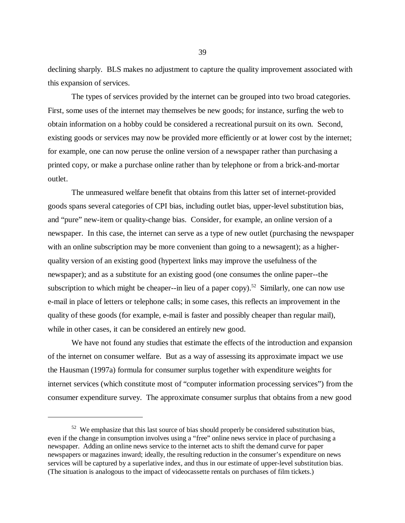declining sharply. BLS makes no adjustment to capture the quality improvement associated with this expansion of services.

The types of services provided by the internet can be grouped into two broad categories. First, some uses of the internet may themselves be new goods; for instance, surfing the web to obtain information on a hobby could be considered a recreational pursuit on its own. Second, existing goods or services may now be provided more efficiently or at lower cost by the internet; for example, one can now peruse the online version of a newspaper rather than purchasing a printed copy, or make a purchase online rather than by telephone or from a brick-and-mortar outlet.

The unmeasured welfare benefit that obtains from this latter set of internet-provided goods spans several categories of CPI bias, including outlet bias, upper-level substitution bias, and "pure" new-item or quality-change bias. Consider, for example, an online version of a newspaper. In this case, the internet can serve as a type of new outlet (purchasing the newspaper with an online subscription may be more convenient than going to a newsagent); as a higherquality version of an existing good (hypertext links may improve the usefulness of the newspaper); and as a substitute for an existing good (one consumes the online paper--the subscription to which might be cheaper--in lieu of a paper copy).<sup>52</sup> Similarly, one can now use e-mail in place of letters or telephone calls; in some cases, this reflects an improvement in the quality of these goods (for example, e-mail is faster and possibly cheaper than regular mail), while in other cases, it can be considered an entirely new good.

We have not found any studies that estimate the effects of the introduction and expansion of the internet on consumer welfare. But as a way of assessing its approximate impact we use the Hausman (1997a) formula for consumer surplus together with expenditure weights for internet services (which constitute most of "computer information processing services") from the consumer expenditure survey. The approximate consumer surplus that obtains from a new good

 $52$  We emphasize that this last source of bias should properly be considered substitution bias, even if the change in consumption involves using a "free" online news service in place of purchasing a newspaper. Adding an online news service to the internet acts to shift the demand curve for paper newspapers or magazines inward; ideally, the resulting reduction in the consumer's expenditure on news services will be captured by a superlative index, and thus in our estimate of upper-level substitution bias. (The situation is analogous to the impact of videocassette rentals on purchases of film tickets.)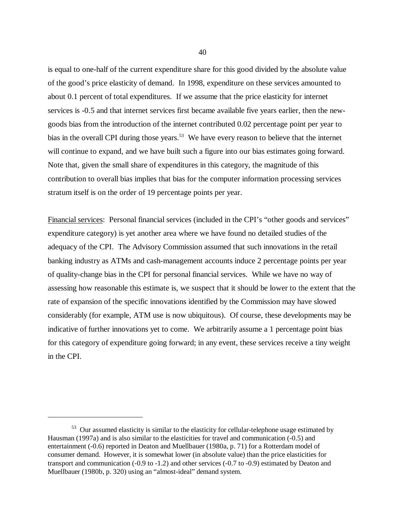is equal to one-half of the current expenditure share for this good divided by the absolute value of the good's price elasticity of demand. In 1998, expenditure on these services amounted to about 0.1 percent of total expenditures. If we assume that the price elasticity for internet services is -0.5 and that internet services first became available five years earlier, then the newgoods bias from the introduction of the internet contributed 0.02 percentage point per year to bias in the overall CPI during those years.<sup>53</sup> We have every reason to believe that the internet will continue to expand, and we have built such a figure into our bias estimates going forward. Note that, given the small share of expenditures in this category, the magnitude of this contribution to overall bias implies that bias for the computer information processing services stratum itself is on the order of 19 percentage points per year.

Financial services: Personal financial services (included in the CPI's "other goods and services" expenditure category) is yet another area where we have found no detailed studies of the adequacy of the CPI. The Advisory Commission assumed that such innovations in the retail banking industry as ATMs and cash-management accounts induce 2 percentage points per year of quality-change bias in the CPI for personal financial services. While we have no way of assessing how reasonable this estimate is, we suspect that it should be lower to the extent that the rate of expansion of the specific innovations identified by the Commission may have slowed considerably (for example, ATM use is now ubiquitous). Of course, these developments may be indicative of further innovations yet to come. We arbitrarily assume a 1 percentage point bias for this category of expenditure going forward; in any event, these services receive a tiny weight in the CPI.

 $53$  Our assumed elasticity is similar to the elasticity for cellular-telephone usage estimated by Hausman (1997a) and is also similar to the elasticities for travel and communication (-0.5) and entertainment (-0.6) reported in Deaton and Muellbauer (1980a, p. 71) for a Rotterdam model of consumer demand. However, it is somewhat lower (in absolute value) than the price elasticities for transport and communication (-0.9 to -1.2) and other services (-0.7 to -0.9) estimated by Deaton and Muellbauer (1980b, p. 320) using an "almost-ideal" demand system.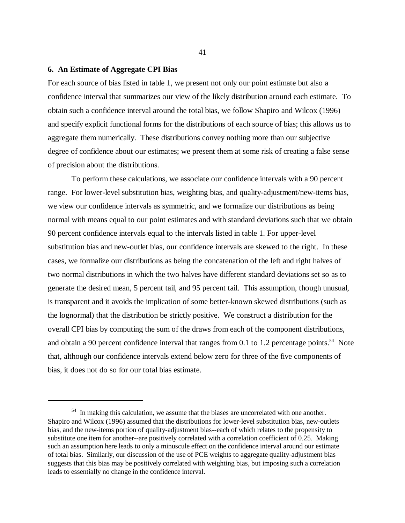#### **6. An Estimate of Aggregate CPI Bias**

For each source of bias listed in table 1, we present not only our point estimate but also a confidence interval that summarizes our view of the likely distribution around each estimate. To obtain such a confidence interval around the total bias, we follow Shapiro and Wilcox (1996) and specify explicit functional forms for the distributions of each source of bias; this allows us to aggregate them numerically. These distributions convey nothing more than our subjective degree of confidence about our estimates; we present them at some risk of creating a false sense of precision about the distributions.

To perform these calculations, we associate our confidence intervals with a 90 percent range. For lower-level substitution bias, weighting bias, and quality-adjustment/new-items bias, we view our confidence intervals as symmetric, and we formalize our distributions as being normal with means equal to our point estimates and with standard deviations such that we obtain 90 percent confidence intervals equal to the intervals listed in table 1. For upper-level substitution bias and new-outlet bias, our confidence intervals are skewed to the right. In these cases, we formalize our distributions as being the concatenation of the left and right halves of two normal distributions in which the two halves have different standard deviations set so as to generate the desired mean, 5 percent tail, and 95 percent tail. This assumption, though unusual, is transparent and it avoids the implication of some better-known skewed distributions (such as the lognormal) that the distribution be strictly positive. We construct a distribution for the overall CPI bias by computing the sum of the draws from each of the component distributions, and obtain a 90 percent confidence interval that ranges from 0.1 to 1.2 percentage points.<sup>54</sup> Note that, although our confidence intervals extend below zero for three of the five components of bias, it does not do so for our total bias estimate.

 $<sup>54</sup>$  In making this calculation, we assume that the biases are uncorrelated with one another.</sup> Shapiro and Wilcox (1996) assumed that the distributions for lower-level substitution bias, new-outlets bias, and the new-items portion of quality-adjustment bias--each of which relates to the propensity to substitute one item for another--are positively correlated with a correlation coefficient of 0.25. Making such an assumption here leads to only a minuscule effect on the confidence interval around our estimate of total bias. Similarly, our discussion of the use of PCE weights to aggregate quality-adjustment bias suggests that this bias may be positively correlated with weighting bias, but imposing such a correlation leads to essentially no change in the confidence interval.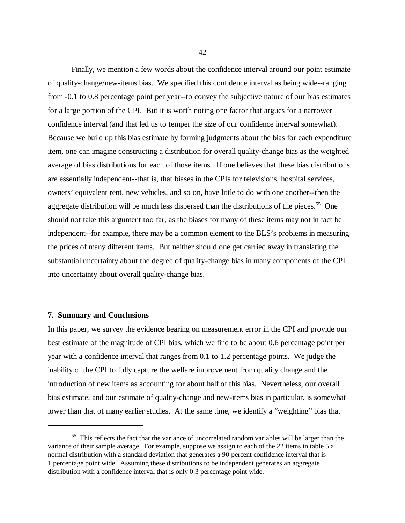Finally, we mention a few words about the confidence interval around our point estimate of quality-change/new-items bias. We specified this confidence interval as being wide--ranging from -0.1 to 0.8 percentage point per year--to convey the subjective nature of our bias estimates for a large portion of the CPI. But it is worth noting one factor that argues for a narrower confidence interval (and that led us to temper the size of our confidence interval somewhat). Because we build up this bias estimate by forming judgments about the bias for each expenditure item, one can imagine constructing a distribution for overall quality-change bias as the weighted average of bias distributions for each of those items. If one believes that these bias distributions are essentially independent--that is, that biases in the CPIs for televisions, hospital services, owners' equivalent rent, new vehicles, and so on, have little to do with one another--then the aggregate distribution will be much less dispersed than the distributions of the pieces.<sup>55</sup> One should not take this argument too far, as the biases for many of these items may not in fact be independent--for example, there may be a common element to the BLS's problems in measuring the prices of many different items. But neither should one get carried away in translating the substantial uncertainty about the degree of quality-change bias in many components of the CPI into uncertainty about overall quality-change bias.

### **7. Summary and Conclusions**

In this paper, we survey the evidence bearing on measurement error in the CPI and provide our best estimate of the magnitude of CPI bias, which we find to be about 0.6 percentage point per year with a confidence interval that ranges from 0.1 to 1.2 percentage points. We judge the inability of the CPI to fully capture the welfare improvement from quality change and the introduction of new items as accounting for about half of this bias. Nevertheless, our overall bias estimate, and our estimate of quality-change and new-items bias in particular, is somewhat lower than that of many earlier studies. At the same time, we identify a "weighting" bias that

<sup>&</sup>lt;sup>55</sup> This reflects the fact that the variance of uncorrelated random variables will be larger than the variance of their sample average. For example, suppose we assign to each of the 22 items in table 5 a normal distribution with a standard deviation that generates a 90 percent confidence interval that is 1 percentage point wide. Assuming these distributions to be independent generates an aggregate distribution with a confidence interval that is only 0.3 percentage point wide.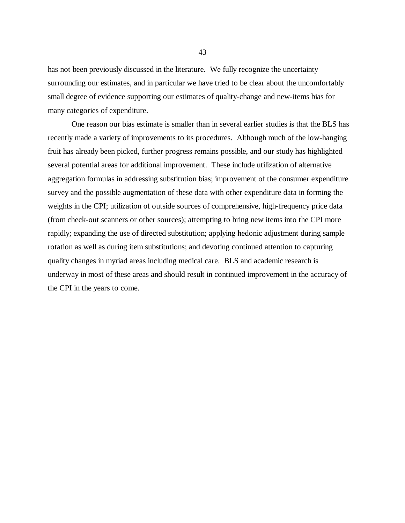has not been previously discussed in the literature. We fully recognize the uncertainty surrounding our estimates, and in particular we have tried to be clear about the uncomfortably small degree of evidence supporting our estimates of quality-change and new-items bias for many categories of expenditure.

One reason our bias estimate is smaller than in several earlier studies is that the BLS has recently made a variety of improvements to its procedures. Although much of the low-hanging fruit has already been picked, further progress remains possible, and our study has highlighted several potential areas for additional improvement. These include utilization of alternative aggregation formulas in addressing substitution bias; improvement of the consumer expenditure survey and the possible augmentation of these data with other expenditure data in forming the weights in the CPI; utilization of outside sources of comprehensive, high-frequency price data (from check-out scanners or other sources); attempting to bring new items into the CPI more rapidly; expanding the use of directed substitution; applying hedonic adjustment during sample rotation as well as during item substitutions; and devoting continued attention to capturing quality changes in myriad areas including medical care. BLS and academic research is underway in most of these areas and should result in continued improvement in the accuracy of the CPI in the years to come.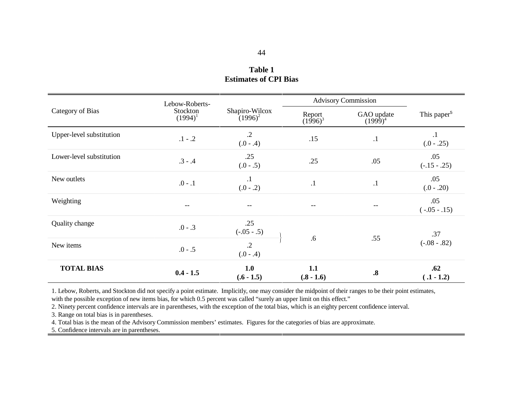| <b>Table 1</b>               |
|------------------------------|
| <b>Estimates of CPI Bias</b> |

|                          | Lebow-Roberts-         |                                       |                      | <b>Advisory Commission</b> |                         |  |
|--------------------------|------------------------|---------------------------------------|----------------------|----------------------------|-------------------------|--|
| Category of Bias         | Stockton<br>$(1994)^1$ | Shapiro-Wilcox<br>$(1996)^2$          | Report<br>$(1996)^3$ | GAO update<br>$(1999)^4$   | This paper <sup>5</sup> |  |
| Upper-level substitution | $.1 - .2$              | $\cdot$ .2<br>$(.0 - .4)$             | .15                  | $\cdot$ 1                  | $\cdot$<br>$(.0-.25)$   |  |
| Lower-level substitution | $.3 - .4$              | .25<br>$(.0 - .5)$                    | .25                  | .05                        | .05<br>$(-.15 - .25)$   |  |
| New outlets              | $.0 - .1$              | $\cdot$<br>$(.0-.2)$                  | $\cdot$              | $\cdot$ 1                  | .05<br>$(.0-.20)$       |  |
| Weighting                | $\qquad \qquad -$      | $\hspace{0.05cm}$ – $\hspace{0.05cm}$ | $-$                  |                            | .05<br>$(-.05-.15)$     |  |
| Quality change           | $.0 - .3$              | .25<br>$(-.05 - .5)$                  | .6                   | .55                        | .37                     |  |
| New items                | $.0 - .5$              | $\cdot$ .2<br>$(.0 - .4)$             |                      |                            | $(-.08 - .82)$          |  |
| <b>TOTAL BIAS</b>        | $0.4 - 1.5$            | 1.0<br>$(.6 - 1.5)$                   | 1.1<br>$(.8 - 1.6)$  | $\boldsymbol{.8}$          | .62<br>$(.1 - 1.2)$     |  |

1. Lebow, Roberts, and Stockton did not specify a point estimate. Implicitly, one may consider the midpoint of their ranges to be their point estimates,

with the possible exception of new items bias, for which 0.5 percent was called "surely an upper limit on this effect."

2. Ninety percent confidence intervals are in parentheses, with the exception of the total bias, which is an eighty percent confidence interval.

3. Range on total bias is in parentheses.

4. Total bias is the mean of the Advisory Commission members' estimates. Figures for the categories of bias are approximate.

5. Confidence intervals are in parentheses.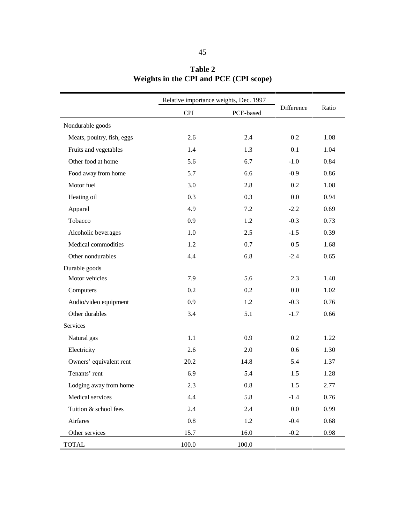| Table 2                                |  |
|----------------------------------------|--|
| Weights in the CPI and PCE (CPI scope) |  |

|                            |            | Relative importance weights, Dec. 1997 |            |       |  |
|----------------------------|------------|----------------------------------------|------------|-------|--|
|                            | <b>CPI</b> | PCE-based                              | Difference | Ratio |  |
| Nondurable goods           |            |                                        |            |       |  |
| Meats, poultry, fish, eggs | 2.6        | 2.4                                    | 0.2        | 1.08  |  |
| Fruits and vegetables      | 1.4        | 1.3                                    | 0.1        | 1.04  |  |
| Other food at home         | 5.6        | 6.7                                    | $-1.0$     | 0.84  |  |
| Food away from home        | 5.7        | 6.6                                    | $-0.9$     | 0.86  |  |
| Motor fuel                 | 3.0        | 2.8                                    | 0.2        | 1.08  |  |
| Heating oil                | 0.3        | 0.3                                    | 0.0        | 0.94  |  |
| Apparel                    | 4.9        | 7.2                                    | $-2.2$     | 0.69  |  |
| Tobacco                    | 0.9        | 1.2                                    | $-0.3$     | 0.73  |  |
| Alcoholic beverages        | 1.0        | 2.5                                    | $-1.5$     | 0.39  |  |
| Medical commodities        | 1.2        | 0.7                                    | 0.5        | 1.68  |  |
| Other nondurables          | 4.4        | 6.8                                    | $-2.4$     | 0.65  |  |
| Durable goods              |            |                                        |            |       |  |
| Motor vehicles             | 7.9        | 5.6                                    | 2.3        | 1.40  |  |
| Computers                  | 0.2        | 0.2                                    | 0.0        | 1.02  |  |
| Audio/video equipment      | 0.9        | 1.2                                    | $-0.3$     | 0.76  |  |
| Other durables             | 3.4        | 5.1                                    | $-1.7$     | 0.66  |  |
| Services                   |            |                                        |            |       |  |
| Natural gas                | 1.1        | 0.9                                    | 0.2        | 1.22  |  |
| Electricity                | 2.6        | 2.0                                    | 0.6        | 1.30  |  |
| Owners' equivalent rent    | 20.2       | 14.8                                   | 5.4        | 1.37  |  |
| Tenants' rent              | 6.9        | 5.4                                    | 1.5        | 1.28  |  |
| Lodging away from home     | 2.3        | $0.8\,$                                | $1.5\,$    | 2.77  |  |
| Medical services           | 4.4        | 5.8                                    | $-1.4$     | 0.76  |  |
| Tuition & school fees      | 2.4        | 2.4                                    | $0.0\,$    | 0.99  |  |
| Airfares                   | $0.8\,$    | 1.2                                    | $-0.4$     | 0.68  |  |
| Other services             | 15.7       | 16.0                                   | $-0.2$     | 0.98  |  |
| <b>TOTAL</b>               | 100.0      | 100.0                                  |            |       |  |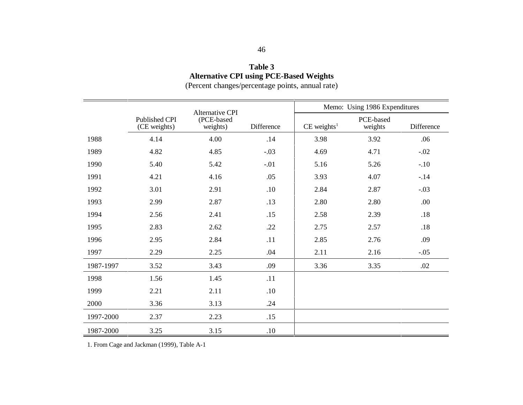# **Table 3Alternative CPI using PCE-Based Weights**

Published CPI (CE weights) Alternative CPI (PCE-based<br>weights) Difference Memo: Using 1986 Expenditures  $CE$  weights<sup>1</sup> PCE-basedweights Difference 1988 4.14 4.00 .14 3.98 3.92 .061989 4.82 4.85 -.03 4.69 4.71 -.02 $-.02$ 1990 5.40 5.42 -.01 5.16 5.26 -.10 1991 4.21 4.16 05 3.93 4.07 -.14  $-14$ 1992 3.01 2.91 .10 2.84 2.87 -.03 $-.03$ 1993 2.99 2.87 .13 2.80 2.80 .00 $.00.$ 1994 2.56 2.41 .15 2.58 2.39 .181995 2.83 2.62 .22 2.75 2.57 .18 $.18$ 1996 2.95 2.84 .11 2.85 2.76 .091997 2.29 2.25 .04 2.11 2.16 -.05 $-.05$ 1987-1997 3.52 3.43 .09 3.36 3.35 .02.02 1998 1.56 1.45 .111999 2.21 2.11 .102000 3.36 3.13 .24 $.24$ 1997-2000 2.37 2.23  $.15$ 1987-2000 3.25 3.15  $.10$ 

(Percent changes/percentage points, annual rate)

1. From Cage and Jackman (1999), Table A-1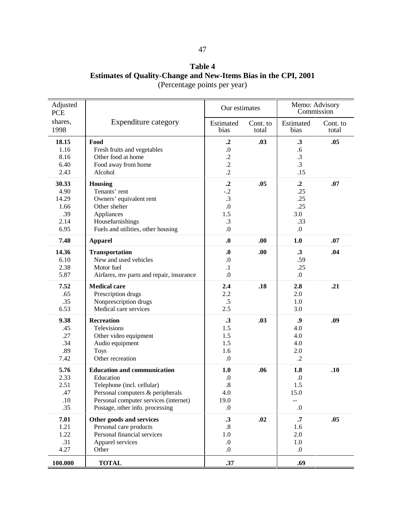**Table 4 Estimates of Quality-Change and New-Items Bias in the CPI, 2001** (Percentage points per year)

| Adjusted<br><b>PCE</b>                                |                                                                                                                                                                                               | Our estimates                                                             |                   | Memo: Advisory<br>Commission                                  |                   |
|-------------------------------------------------------|-----------------------------------------------------------------------------------------------------------------------------------------------------------------------------------------------|---------------------------------------------------------------------------|-------------------|---------------------------------------------------------------|-------------------|
| shares,<br>1998                                       | Expenditure category                                                                                                                                                                          | Estimated<br>bias                                                         | Cont. to<br>total | Estimated<br>bias                                             | Cont. to<br>total |
| 18.15<br>1.16<br>8.16<br>6.40<br>2.43                 | Food<br>Fresh fruits and vegetables<br>Other food at home<br>Food away from home<br>Alcohol                                                                                                   | $\cdot^2$<br>$\cdot$<br>$\cdot$<br>$\cdot$<br>$\cdot$                     | .03               | $\cdot$ 3<br>.6<br>.3<br>$\cdot$ 3<br>.15                     | .05               |
| 30.33<br>4.90<br>14.29<br>1.66<br>.39<br>2.14<br>6.95 | Housing<br>Tenants' rent<br>Owners' equivalent rent<br>Other shelter<br>Appliances<br>Housefurnishings<br>Fuels and utilities, other housing                                                  | $\cdot$ <sup>2</sup><br>$-.2$<br>.3<br>.0<br>1.5<br>.3<br>$\cdot$         | .05               | $\cdot$ <sup>2</sup><br>.25<br>.25<br>.25<br>3.0<br>.33<br>0. | .07               |
| 7.48                                                  | <b>Apparel</b>                                                                                                                                                                                | $\bf{0}$                                                                  | .00.              | 1.0                                                           | .07               |
| 14.36<br>6.10<br>2.38<br>5.87                         | <b>Transportation</b><br>New and used vehicles<br>Motor fuel<br>Airfares, mv parts and repair, insurance                                                                                      | $\boldsymbol{0}$<br>$\cdot$<br>$\cdot$ 1<br>0.                            | .00               | $\cdot$ 3<br>.59<br>.25<br>0.                                 | .04               |
| 7.52<br>.65<br>.35<br>6.53                            | <b>Medical care</b><br>Prescription drugs<br>Nonprescription drugs<br>Medical care services                                                                                                   | 2.4<br>2.2<br>.5<br>2.5                                                   | .18               | 2.8<br>2.0<br>1.0<br>3.0                                      | .21               |
| 9.38<br>.45<br>.27<br>.34<br>.89<br>7.42              | <b>Recreation</b><br>Televisions<br>Other video equipment<br>Audio equipment<br><b>Toys</b><br>Other recreation                                                                               | $\cdot$ 3<br>1.5<br>1.5<br>1.5<br>1.6<br>.0                               | .03               | .9<br>4.0<br>4.0<br>4.0<br>2.0<br>$\cdot$                     | .09               |
| 5.76<br>2.33<br>2.51<br>.47<br>.10<br>.35             | <b>Education and communication</b><br>Education<br>Telephone (incl. cellular)<br>Personal computers & peripherals<br>Personal computer services (internet)<br>Postage, other info. processing | 1.0<br>0.<br>.8<br>$4.0$<br>19.0<br>0.                                    | .06               | 1.8<br>$\boldsymbol{0}$<br>1.5<br>15.0<br>--<br>$.0\,$        | .10               |
| 7.01<br>1.21<br>1.22<br>.31<br>4.27<br>100.000        | Other goods and services<br>Personal care products<br>Personal financial services<br>Apparel services<br>Other<br><b>TOTAL</b>                                                                | $\cdot$ 3<br>$.8\,$<br>1.0<br>$\boldsymbol{0}$<br>$\boldsymbol{0}$<br>.37 | .02               | $\cdot$ 7<br>1.6<br>2.0<br>1.0<br>0.<br>.69                   | .05               |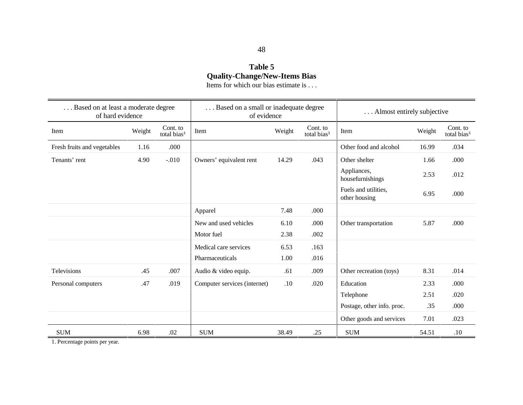## **Table 5 Quality-Change/New-Items Bias**

Items for which our bias estimate is . . .

| Based on at least a moderate degree<br>of hard evidence |        |                                     |                              | Based on a small or inadequate degree<br>of evidence |                                     | Almost entirely subjective            |        |                                     |
|---------------------------------------------------------|--------|-------------------------------------|------------------------------|------------------------------------------------------|-------------------------------------|---------------------------------------|--------|-------------------------------------|
| Item                                                    | Weight | Cont. to<br>total bias <sup>1</sup> | Item                         | Weight                                               | Cont. to<br>total bias <sup>1</sup> | Item                                  | Weight | Cont. to<br>total bias <sup>1</sup> |
| Fresh fruits and vegetables                             | 1.16   | .000                                |                              |                                                      |                                     | Other food and alcohol                | 16.99  | .034                                |
| Tenants' rent                                           | 4.90   | $-.010$                             | Owners' equivalent rent      | 14.29                                                | .043                                | Other shelter                         | 1.66   | .000                                |
|                                                         |        |                                     |                              |                                                      |                                     | Appliances,<br>housefurnishings       | 2.53   | .012                                |
|                                                         |        |                                     |                              |                                                      |                                     | Fuels and utilities,<br>other housing | 6.95   | .000                                |
|                                                         |        |                                     | Apparel                      | 7.48                                                 | .000                                |                                       |        |                                     |
|                                                         |        |                                     | New and used vehicles        | 6.10                                                 | .000                                | Other transportation                  | 5.87   | .000                                |
|                                                         |        |                                     | Motor fuel                   | 2.38                                                 | .002                                |                                       |        |                                     |
|                                                         |        |                                     | Medical care services        | 6.53                                                 | .163                                |                                       |        |                                     |
|                                                         |        |                                     | Pharmaceuticals              | 1.00                                                 | .016                                |                                       |        |                                     |
| Televisions                                             | .45    | .007                                | Audio & video equip.         | .61                                                  | .009                                | Other recreation (toys)               | 8.31   | .014                                |
| Personal computers                                      | .47    | .019                                | Computer services (internet) | .10                                                  | .020                                | Education                             | 2.33   | .000                                |
|                                                         |        |                                     |                              |                                                      |                                     | Telephone                             | 2.51   | .020                                |
|                                                         |        |                                     |                              |                                                      |                                     | Postage, other info. proc.            | .35    | .000                                |
|                                                         |        |                                     |                              |                                                      |                                     | Other goods and services              | 7.01   | .023                                |
| <b>SUM</b>                                              | 6.98   | .02                                 | <b>SUM</b>                   | 38.49                                                | .25                                 | <b>SUM</b>                            | 54.51  | .10                                 |

1. Percentage points per year.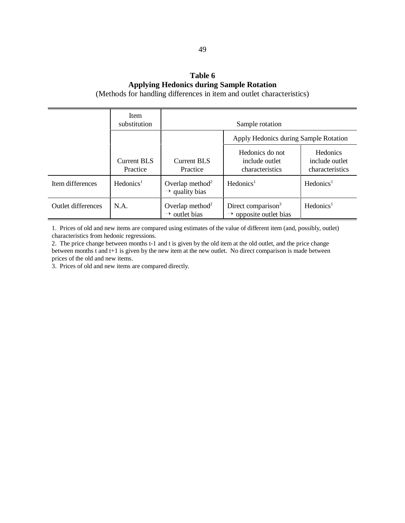## **Table 6 Applying Hedonics during Sample Rotation** (Methods for handling differences in item and outlet characteristics)

|                    | Item<br>substitution           | Sample rotation                                           |                                                                      |                                                      |  |
|--------------------|--------------------------------|-----------------------------------------------------------|----------------------------------------------------------------------|------------------------------------------------------|--|
|                    |                                |                                                           | Apply Hedonics during Sample Rotation                                |                                                      |  |
|                    | <b>Current BLS</b><br>Practice | <b>Current BLS</b><br>Practice                            | Hedonics do not<br>include outlet<br>characteristics                 | <b>Hedonics</b><br>include outlet<br>characteristics |  |
| Item differences   | Hedonics <sup>1</sup>          | Overlap method <sup>2</sup><br>$\rightarrow$ quality bias | Hedonics <sup>1</sup>                                                | Hedonics <sup>1</sup>                                |  |
| Outlet differences | N.A.                           | Overlap method <sup>2</sup><br>$\rightarrow$ outlet bias  | Direct comparison <sup>3</sup><br>$\rightarrow$ opposite outlet bias | Hedonics <sup>1</sup>                                |  |

1. Prices of old and new items are compared using estimates of the value of different item (and, possibly, outlet) characteristics from hedonic regressions.

2. The price change between months t-1 and t is given by the old item at the old outlet, and the price change between months t and t+1 is given by the new item at the new outlet. No direct comparison is made between prices of the old and new items.

3. Prices of old and new items are compared directly.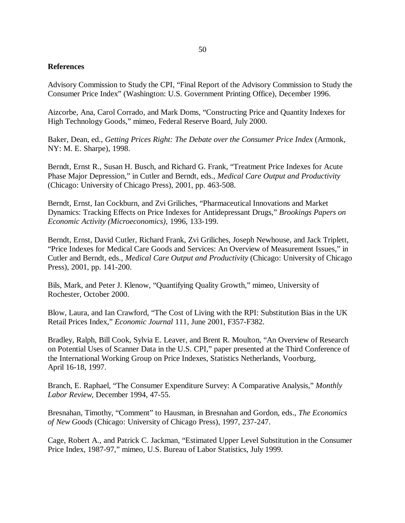### **References**

Advisory Commission to Study the CPI, "Final Report of the Advisory Commission to Study the Consumer Price Index" (Washington: U.S. Government Printing Office), December 1996.

Aizcorbe, Ana, Carol Corrado, and Mark Doms, "Constructing Price and Quantity Indexes for High Technology Goods," mimeo, Federal Reserve Board, July 2000.

Baker, Dean, ed., *Getting Prices Right: The Debate over the Consumer Price Index* (Armonk, NY: M. E. Sharpe), 1998.

Berndt, Ernst R., Susan H. Busch, and Richard G. Frank, "Treatment Price Indexes for Acute Phase Major Depression," in Cutler and Berndt, eds., *Medical Care Output and Productivity* (Chicago: University of Chicago Press), 2001, pp. 463-508.

Berndt, Ernst, Ian Cockburn, and Zvi Griliches, "Pharmaceutical Innovations and Market Dynamics: Tracking Effects on Price Indexes for Antidepressant Drugs," *Brookings Papers on Economic Activity (Microeconomics)*, 1996, 133-199.

Berndt, Ernst, David Cutler, Richard Frank, Zvi Griliches, Joseph Newhouse, and Jack Triplett, "Price Indexes for Medical Care Goods and Services: An Overview of Measurement Issues," in Cutler and Berndt, eds., *Medical Care Output and Productivity* (Chicago: University of Chicago Press), 2001, pp. 141-200.

Bils, Mark, and Peter J. Klenow, "Quantifying Quality Growth," mimeo, University of Rochester, October 2000.

Blow, Laura, and Ian Crawford, "The Cost of Living with the RPI: Substitution Bias in the UK Retail Prices Index," *Economic Journal* 111, June 2001, F357-F382.

Bradley, Ralph, Bill Cook, Sylvia E. Leaver, and Brent R. Moulton, "An Overview of Research on Potential Uses of Scanner Data in the U.S. CPI," paper presented at the Third Conference of the International Working Group on Price Indexes, Statistics Netherlands, Voorburg, April 16-18, 1997.

Branch, E. Raphael, "The Consumer Expenditure Survey: A Comparative Analysis," *Monthly Labor Review*, December 1994, 47-55.

Bresnahan, Timothy, "Comment" to Hausman, in Bresnahan and Gordon, eds., *The Economics of New Goods* (Chicago: University of Chicago Press), 1997, 237-247.

Cage, Robert A., and Patrick C. Jackman, "Estimated Upper Level Substitution in the Consumer Price Index, 1987-97," mimeo, U.S. Bureau of Labor Statistics, July 1999.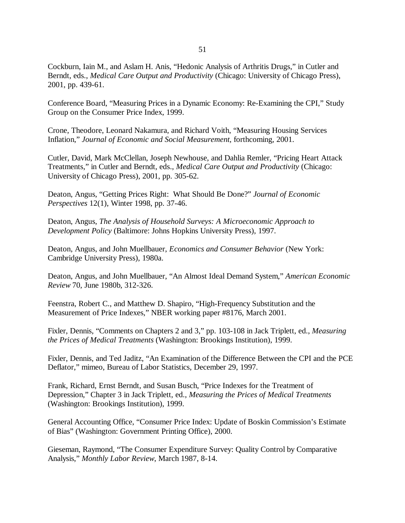Cockburn, Iain M., and Aslam H. Anis, "Hedonic Analysis of Arthritis Drugs," in Cutler and Berndt, eds., *Medical Care Output and Productivity* (Chicago: University of Chicago Press), 2001, pp. 439-61.

Conference Board, "Measuring Prices in a Dynamic Economy: Re-Examining the CPI," Study Group on the Consumer Price Index, 1999.

Crone, Theodore, Leonard Nakamura, and Richard Voith, "Measuring Housing Services Inflation," *Journal of Economic and Social Measurement*, forthcoming, 2001.

Cutler, David, Mark McClellan, Joseph Newhouse, and Dahlia Remler, "Pricing Heart Attack Treatments," in Cutler and Berndt, eds., *Medical Care Output and Productivity* (Chicago: University of Chicago Press), 2001, pp. 305-62.

Deaton, Angus, "Getting Prices Right: What Should Be Done?" *Journal of Economic Perspectives* 12(1), Winter 1998, pp. 37-46.

Deaton, Angus, *The Analysis of Household Surveys: A Microeconomic Approach to Development Policy* (Baltimore: Johns Hopkins University Press), 1997.

Deaton, Angus, and John Muellbauer, *Economics and Consumer Behavior* (New York: Cambridge University Press), 1980a.

Deaton, Angus, and John Muellbauer, "An Almost Ideal Demand System," *American Economic Review* 70, June 1980b, 312-326.

Feenstra, Robert C., and Matthew D. Shapiro, "High-Frequency Substitution and the Measurement of Price Indexes," NBER working paper #8176, March 2001.

Fixler, Dennis, "Comments on Chapters 2 and 3," pp. 103-108 in Jack Triplett, ed., *Measuring the Prices of Medical Treatments* (Washington: Brookings Institution), 1999.

Fixler, Dennis, and Ted Jaditz, "An Examination of the Difference Between the CPI and the PCE Deflator," mimeo, Bureau of Labor Statistics, December 29, 1997.

Frank, Richard, Ernst Berndt, and Susan Busch, "Price Indexes for the Treatment of Depression," Chapter 3 in Jack Triplett, ed., *Measuring the Prices of Medical Treatments* (Washington: Brookings Institution), 1999.

General Accounting Office, "Consumer Price Index: Update of Boskin Commission's Estimate of Bias" (Washington: Government Printing Office), 2000.

Gieseman, Raymond, "The Consumer Expenditure Survey: Quality Control by Comparative Analysis," *Monthly Labor Review*, March 1987, 8-14.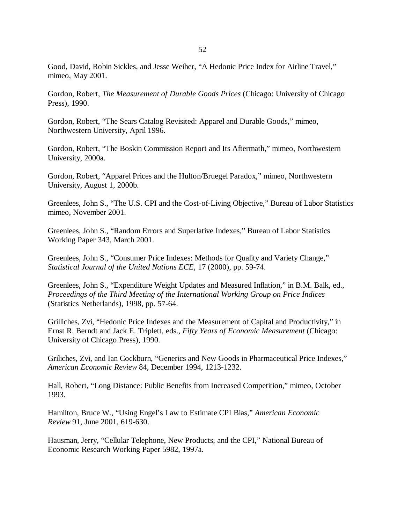Good, David, Robin Sickles, and Jesse Weiher, "A Hedonic Price Index for Airline Travel," mimeo, May 2001.

Gordon, Robert, *The Measurement of Durable Goods Prices* (Chicago: University of Chicago Press), 1990.

Gordon, Robert, "The Sears Catalog Revisited: Apparel and Durable Goods," mimeo, Northwestern University, April 1996.

Gordon, Robert, "The Boskin Commission Report and Its Aftermath," mimeo, Northwestern University, 2000a.

Gordon, Robert, "Apparel Prices and the Hulton/Bruegel Paradox," mimeo, Northwestern University, August 1, 2000b.

Greenlees, John S., "The U.S. CPI and the Cost-of-Living Objective," Bureau of Labor Statistics mimeo, November 2001.

Greenlees, John S., "Random Errors and Superlative Indexes," Bureau of Labor Statistics Working Paper 343, March 2001.

Greenlees, John S., "Consumer Price Indexes: Methods for Quality and Variety Change," *Statistical Journal of the United Nations ECE*, 17 (2000), pp. 59-74.

Greenlees, John S., "Expenditure Weight Updates and Measured Inflation," in B.M. Balk, ed., *Proceedings of the Third Meeting of the International Working Group on Price Indices* (Statistics Netherlands), 1998, pp. 57-64.

Grilliches, Zvi, "Hedonic Price Indexes and the Measurement of Capital and Productivity," in Ernst R. Berndt and Jack E. Triplett, eds., *Fifty Years of Economic Measurement* (Chicago: University of Chicago Press), 1990.

Griliches, Zvi, and Ian Cockburn, "Generics and New Goods in Pharmaceutical Price Indexes," *American Economic Review* 84, December 1994, 1213-1232.

Hall, Robert, "Long Distance: Public Benefits from Increased Competition," mimeo, October 1993.

Hamilton, Bruce W., "Using Engel's Law to Estimate CPI Bias," *American Economic Review* 91, June 2001, 619-630.

Hausman, Jerry, "Cellular Telephone, New Products, and the CPI," National Bureau of Economic Research Working Paper 5982, 1997a.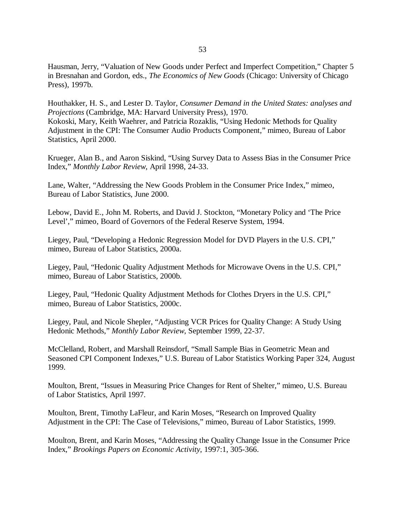Hausman, Jerry, "Valuation of New Goods under Perfect and Imperfect Competition," Chapter 5 in Bresnahan and Gordon, eds., *The Economics of New Goods* (Chicago: University of Chicago Press), 1997b.

Houthakker, H. S., and Lester D. Taylor, *Consumer Demand in the United States: analyses and Projections* (Cambridge, MA: Harvard University Press), 1970. Kokoski, Mary, Keith Waehrer, and Patricia Rozaklis, "Using Hedonic Methods for Quality Adjustment in the CPI: The Consumer Audio Products Component," mimeo, Bureau of Labor Statistics, April 2000.

Krueger, Alan B., and Aaron Siskind, "Using Survey Data to Assess Bias in the Consumer Price Index," *Monthly Labor Review*, April 1998, 24-33.

Lane, Walter, "Addressing the New Goods Problem in the Consumer Price Index," mimeo, Bureau of Labor Statistics, June 2000.

Lebow, David E., John M. Roberts, and David J. Stockton, "Monetary Policy and 'The Price Level'," mimeo, Board of Governors of the Federal Reserve System, 1994.

Liegey, Paul, "Developing a Hedonic Regression Model for DVD Players in the U.S. CPI," mimeo, Bureau of Labor Statistics, 2000a.

Liegey, Paul, "Hedonic Quality Adjustment Methods for Microwave Ovens in the U.S. CPI," mimeo, Bureau of Labor Statistics, 2000b.

Liegey, Paul, "Hedonic Quality Adjustment Methods for Clothes Dryers in the U.S. CPI," mimeo, Bureau of Labor Statistics, 2000c.

Liegey, Paul, and Nicole Shepler, "Adjusting VCR Prices for Quality Change: A Study Using Hedonic Methods," *Monthly Labor Review*, September 1999, 22-37.

McClelland, Robert, and Marshall Reinsdorf, "Small Sample Bias in Geometric Mean and Seasoned CPI Component Indexes," U.S. Bureau of Labor Statistics Working Paper 324, August 1999.

Moulton, Brent, "Issues in Measuring Price Changes for Rent of Shelter," mimeo, U.S. Bureau of Labor Statistics, April 1997.

Moulton, Brent, Timothy LaFleur, and Karin Moses, "Research on Improved Quality Adjustment in the CPI: The Case of Televisions," mimeo, Bureau of Labor Statistics, 1999.

Moulton, Brent, and Karin Moses, "Addressing the Quality Change Issue in the Consumer Price Index," *Brookings Papers on Economic Activity*, 1997:1, 305-366.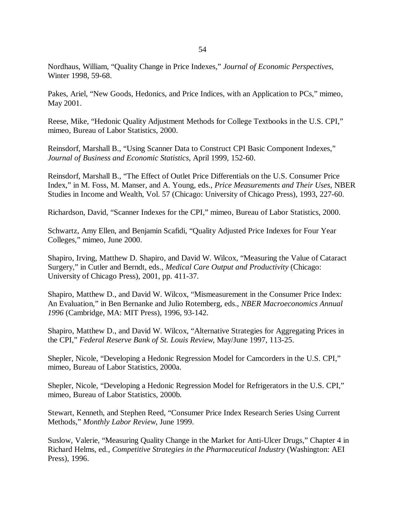Nordhaus, William, "Quality Change in Price Indexes," *Journal of Economic Perspectives,* Winter 1998, 59-68.

Pakes, Ariel, "New Goods, Hedonics, and Price Indices, with an Application to PCs," mimeo, May 2001.

Reese, Mike, "Hedonic Quality Adjustment Methods for College Textbooks in the U.S. CPI," mimeo, Bureau of Labor Statistics, 2000.

Reinsdorf, Marshall B., "Using Scanner Data to Construct CPI Basic Component Indexes," *Journal of Business and Economic Statistics*, April 1999, 152-60.

Reinsdorf, Marshall B., "The Effect of Outlet Price Differentials on the U.S. Consumer Price Index," in M. Foss, M. Manser, and A. Young, eds., *Price Measurements and Their Uses*, NBER Studies in Income and Wealth, Vol. 57 (Chicago: University of Chicago Press), 1993, 227-60.

Richardson, David, "Scanner Indexes for the CPI," mimeo, Bureau of Labor Statistics, 2000.

Schwartz, Amy Ellen, and Benjamin Scafidi, "Quality Adjusted Price Indexes for Four Year Colleges," mimeo, June 2000.

Shapiro, Irving, Matthew D. Shapiro, and David W. Wilcox, "Measuring the Value of Cataract Surgery," in Cutler and Berndt, eds., *Medical Care Output and Productivity* (Chicago: University of Chicago Press), 2001, pp. 411-37.

Shapiro, Matthew D., and David W. Wilcox, "Mismeasurement in the Consumer Price Index: An Evaluation," in Ben Bernanke and Julio Rotemberg, eds., *NBER Macroeconomics Annual 1996* (Cambridge, MA: MIT Press), 1996, 93-142.

Shapiro, Matthew D., and David W. Wilcox, "Alternative Strategies for Aggregating Prices in the CPI," *Federal Reserve Bank of St. Louis Review*, May/June 1997, 113-25.

Shepler, Nicole, "Developing a Hedonic Regression Model for Camcorders in the U.S. CPI," mimeo, Bureau of Labor Statistics, 2000a.

Shepler, Nicole, "Developing a Hedonic Regression Model for Refrigerators in the U.S. CPI," mimeo, Bureau of Labor Statistics, 2000b.

Stewart, Kenneth, and Stephen Reed, "Consumer Price Index Research Series Using Current Methods," *Monthly Labor Review*, June 1999.

Suslow, Valerie, "Measuring Quality Change in the Market for Anti-Ulcer Drugs," Chapter 4 in Richard Helms, ed., *Competitive Strategies in the Pharmaceutical Industry* (Washington: AEI Press), 1996.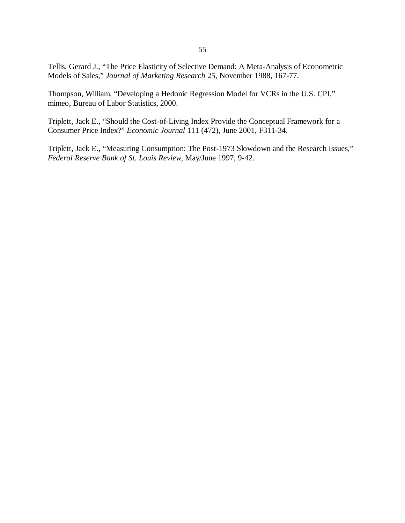Tellis, Gerard J., "The Price Elasticity of Selective Demand: A Meta-Analysis of Econometric Models of Sales," *Journal of Marketing Research* 25, November 1988, 167-77.

Thompson, William, "Developing a Hedonic Regression Model for VCRs in the U.S. CPI," mimeo, Bureau of Labor Statistics, 2000.

Triplett, Jack E., "Should the Cost-of-Living Index Provide the Conceptual Framework for a Consumer Price Index?" *Economic Journal* 111 (472), June 2001, F311-34.

Triplett, Jack E., "Measuring Consumption: The Post-1973 Slowdown and the Research Issues," *Federal Reserve Bank of St. Louis Review*, May/June 1997, 9-42.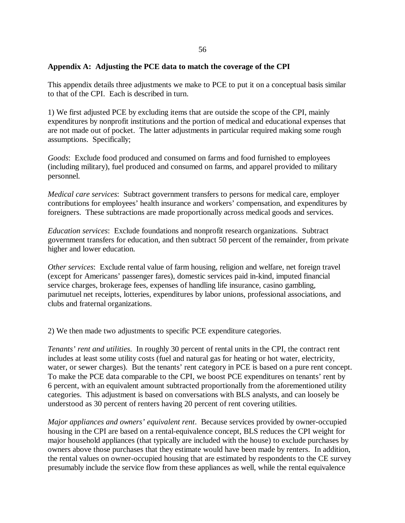## **Appendix A: Adjusting the PCE data to match the coverage of the CPI**

This appendix details three adjustments we make to PCE to put it on a conceptual basis similar to that of the CPI. Each is described in turn.

1) We first adjusted PCE by excluding items that are outside the scope of the CPI, mainly expenditures by nonprofit institutions and the portion of medical and educational expenses that are not made out of pocket. The latter adjustments in particular required making some rough assumptions. Specifically;

*Goods*: Exclude food produced and consumed on farms and food furnished to employees (including military), fuel produced and consumed on farms, and apparel provided to military personnel.

*Medical care services*: Subtract government transfers to persons for medical care, employer contributions for employees' health insurance and workers' compensation, and expenditures by foreigners. These subtractions are made proportionally across medical goods and services.

*Education services*: Exclude foundations and nonprofit research organizations. Subtract government transfers for education, and then subtract 50 percent of the remainder, from private higher and lower education.

*Other services*: Exclude rental value of farm housing, religion and welfare, net foreign travel (except for Americans' passenger fares), domestic services paid in-kind, imputed financial service charges, brokerage fees, expenses of handling life insurance, casino gambling, parimutuel net receipts, lotteries, expenditures by labor unions, professional associations, and clubs and fraternal organizations.

2) We then made two adjustments to specific PCE expenditure categories.

*Tenants' rent and utilities*. In roughly 30 percent of rental units in the CPI, the contract rent includes at least some utility costs (fuel and natural gas for heating or hot water, electricity, water, or sewer charges). But the tenants' rent category in PCE is based on a pure rent concept. To make the PCE data comparable to the CPI, we boost PCE expenditures on tenants' rent by 6 percent, with an equivalent amount subtracted proportionally from the aforementioned utility categories. This adjustment is based on conversations with BLS analysts, and can loosely be understood as 30 percent of renters having 20 percent of rent covering utilities.

*Major appliances and owners' equivalent rent*. Because services provided by owner-occupied housing in the CPI are based on a rental-equivalence concept, BLS reduces the CPI weight for major household appliances (that typically are included with the house) to exclude purchases by owners above those purchases that they estimate would have been made by renters. In addition, the rental values on owner-occupied housing that are estimated by respondents to the CE survey presumably include the service flow from these appliances as well, while the rental equivalence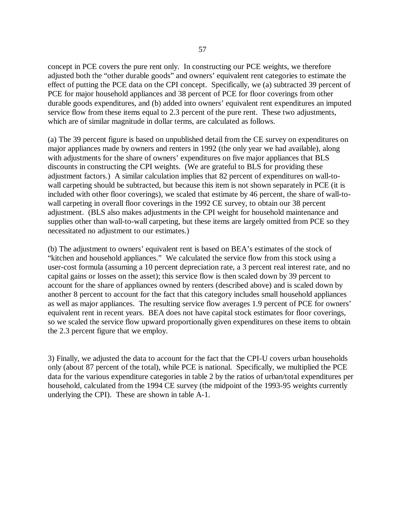concept in PCE covers the pure rent only. In constructing our PCE weights, we therefore adjusted both the "other durable goods" and owners' equivalent rent categories to estimate the effect of putting the PCE data on the CPI concept. Specifically, we (a) subtracted 39 percent of PCE for major household appliances and 38 percent of PCE for floor coverings from other durable goods expenditures, and (b) added into owners' equivalent rent expenditures an imputed service flow from these items equal to 2.3 percent of the pure rent. These two adjustments, which are of similar magnitude in dollar terms, are calculated as follows.

(a) The 39 percent figure is based on unpublished detail from the CE survey on expenditures on major appliances made by owners and renters in 1992 (the only year we had available), along with adjustments for the share of owners' expenditures on five major appliances that BLS discounts in constructing the CPI weights. (We are grateful to BLS for providing these adjustment factors.) A similar calculation implies that 82 percent of expenditures on wall-towall carpeting should be subtracted, but because this item is not shown separately in PCE (it is included with other floor coverings), we scaled that estimate by 46 percent, the share of wall-towall carpeting in overall floor coverings in the 1992 CE survey, to obtain our 38 percent adjustment. (BLS also makes adjustments in the CPI weight for household maintenance and supplies other than wall-to-wall carpeting, but these items are largely omitted from PCE so they necessitated no adjustment to our estimates.)

(b) The adjustment to owners' equivalent rent is based on BEA's estimates of the stock of "kitchen and household appliances." We calculated the service flow from this stock using a user-cost formula (assuming a 10 percent depreciation rate, a 3 percent real interest rate, and no capital gains or losses on the asset); this service flow is then scaled down by 39 percent to account for the share of appliances owned by renters (described above) and is scaled down by another 8 percent to account for the fact that this category includes small household appliances as well as major appliances. The resulting service flow averages 1.9 percent of PCE for owners' equivalent rent in recent years. BEA does not have capital stock estimates for floor coverings, so we scaled the service flow upward proportionally given expenditures on these items to obtain the 2.3 percent figure that we employ.

3) Finally, we adjusted the data to account for the fact that the CPI-U covers urban households only (about 87 percent of the total), while PCE is national. Specifically, we multiplied the PCE data for the various expenditure categories in table 2 by the ratios of urban/total expenditures per household, calculated from the 1994 CE survey (the midpoint of the 1993-95 weights currently underlying the CPI). These are shown in table A-1.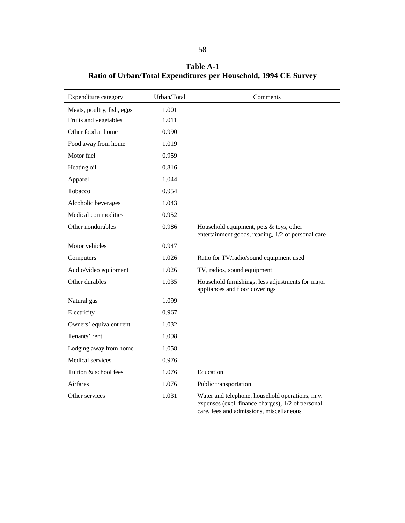**Table A-1 Ratio of Urban/Total Expenditures per Household, 1994 CE Survey**

| Expenditure category       | Urban/Total | Comments                                                                                                                                         |
|----------------------------|-------------|--------------------------------------------------------------------------------------------------------------------------------------------------|
| Meats, poultry, fish, eggs | 1.001       |                                                                                                                                                  |
| Fruits and vegetables      | 1.011       |                                                                                                                                                  |
| Other food at home         | 0.990       |                                                                                                                                                  |
| Food away from home        | 1.019       |                                                                                                                                                  |
| Motor fuel                 | 0.959       |                                                                                                                                                  |
| Heating oil                | 0.816       |                                                                                                                                                  |
| Apparel                    | 1.044       |                                                                                                                                                  |
| Tobacco                    | 0.954       |                                                                                                                                                  |
| Alcoholic beverages        | 1.043       |                                                                                                                                                  |
| Medical commodities        | 0.952       |                                                                                                                                                  |
| Other nondurables          | 0.986       | Household equipment, pets & toys, other<br>entertainment goods, reading, 1/2 of personal care                                                    |
| Motor vehicles             | 0.947       |                                                                                                                                                  |
| Computers                  | 1.026       | Ratio for TV/radio/sound equipment used                                                                                                          |
| Audio/video equipment      | 1.026       | TV, radios, sound equipment                                                                                                                      |
| Other durables             | 1.035       | Household furnishings, less adjustments for major<br>appliances and floor coverings                                                              |
| Natural gas                | 1.099       |                                                                                                                                                  |
| Electricity                | 0.967       |                                                                                                                                                  |
| Owners' equivalent rent    | 1.032       |                                                                                                                                                  |
| Tenants' rent              | 1.098       |                                                                                                                                                  |
| Lodging away from home     | 1.058       |                                                                                                                                                  |
| Medical services           | 0.976       |                                                                                                                                                  |
| Tuition & school fees      | 1.076       | Education                                                                                                                                        |
| <b>Airfares</b>            | 1.076       | Public transportation                                                                                                                            |
| Other services             | 1.031       | Water and telephone, household operations, m.v.<br>expenses (excl. finance charges), 1/2 of personal<br>care, fees and admissions, miscellaneous |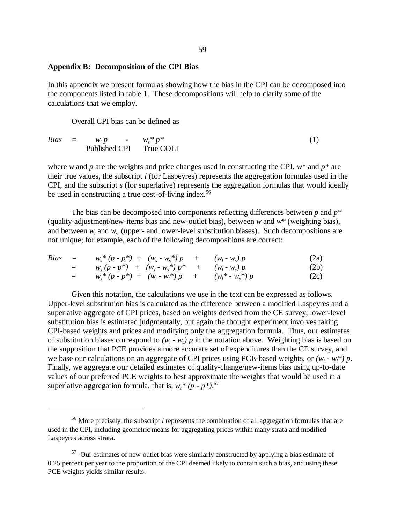#### **Appendix B: Decomposition of the CPI Bias**

In this appendix we present formulas showing how the bias in the CPI can be decomposed into the components listed in table 1. These decompositions will help to clarify some of the calculations that we employ.

Overall CPI bias can be defined as

 $Bias = w_i p$  $w_s * p^*$  (1)<br>True COLI Published CPI

where *w* and *p* are the weights and price changes used in constructing the CPI, *w\** and *p\** are their true values, the subscript *l* (for Laspeyres) represents the aggregation formulas used in the CPI, and the subscript *s* (for superlative) represents the aggregation formulas that would ideally be used in constructing a true cost-of-living index.<sup>56</sup>

The bias can be decomposed into components reflecting differences between *p* and *p\** (quality-adjustment/new-items bias and new-outlet bias), between *w* and *w\** (weighting bias), and between  $w_i$  and  $w_s$  (upper- and lower-level substitution biases). Such decompositions are not unique; for example, each of the following decompositions are correct:

| Bias |                   | $=$ $w_s^*(p - p^*) + (w_s - w_s^*) p + (w_l - w_s) p$           |  | (2a) |
|------|-------------------|------------------------------------------------------------------|--|------|
|      | $\equiv$ $\equiv$ | $W_s (p - p^*)$ + $(W_s - W_s^*) p^*$ + $(W_l - W_s) p$          |  | (2b) |
|      | $=$ $-$           | $w_{s}^{*}(p-p^{*}) + (w_{l}w_{l}^{*})p + (w_{l}^{*}w_{l}^{*})p$ |  | (2c) |

Given this notation, the calculations we use in the text can be expressed as follows. Upper-level substitution bias is calculated as the difference between a modified Laspeyres and a superlative aggregate of CPI prices, based on weights derived from the CE survey; lower-level substitution bias is estimated judgmentally, but again the thought experiment involves taking CPI-based weights and prices and modifying only the aggregation formula. Thus, our estimates of substitution biases correspond to  $(w_l - w_s) p$  in the notation above. Weighting bias is based on the supposition that PCE provides a more accurate set of expenditures than the CE survey, and we base our calculations on an aggregate of CPI prices using PCE-based weights, or  $(w_l - w_l^*) p$ . Finally, we aggregate our detailed estimates of quality-change/new-items bias using up-to-date values of our preferred PCE weights to best approximate the weights that would be used in a superlative aggregation formula, that is,  $w_s^* (p - p^*)$ .<sup>57</sup>

<sup>56</sup> More precisely, the subscript *l* represents the combination of all aggregation formulas that are used in the CPI, including geometric means for aggregating prices within many strata and modified Laspeyres across strata.

 $57$  Our estimates of new-outlet bias were similarly constructed by applying a bias estimate of 0.25 percent per year to the proportion of the CPI deemed likely to contain such a bias, and using these PCE weights yields similar results.